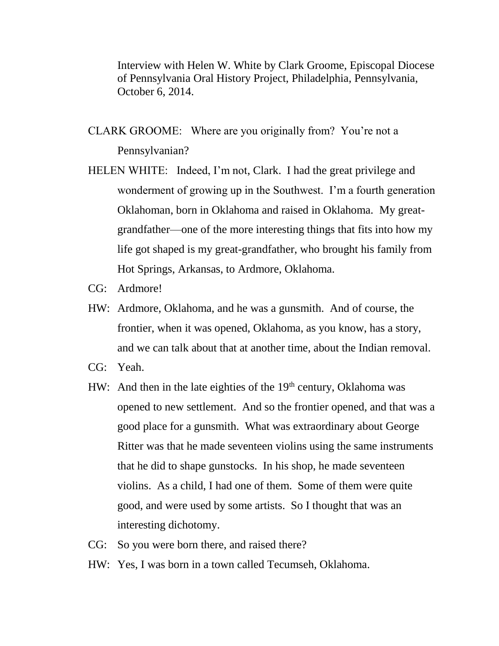Interview with Helen W. White by Clark Groome, Episcopal Diocese of Pennsylvania Oral History Project, Philadelphia, Pennsylvania, October 6, 2014.

CLARK GROOME: Where are you originally from? You're not a Pennsylvanian?

- HELEN WHITE: Indeed, I'm not, Clark. I had the great privilege and wonderment of growing up in the Southwest. I'm a fourth generation Oklahoman, born in Oklahoma and raised in Oklahoma. My greatgrandfather—one of the more interesting things that fits into how my life got shaped is my great-grandfather, who brought his family from Hot Springs, Arkansas, to Ardmore, Oklahoma.
- CG: Ardmore!
- HW: Ardmore, Oklahoma, and he was a gunsmith. And of course, the frontier, when it was opened, Oklahoma, as you know, has a story, and we can talk about that at another time, about the Indian removal.
- CG: Yeah.
- HW: And then in the late eighties of the  $19<sup>th</sup>$  century, Oklahoma was opened to new settlement. And so the frontier opened, and that was a good place for a gunsmith. What was extraordinary about George Ritter was that he made seventeen violins using the same instruments that he did to shape gunstocks. In his shop, he made seventeen violins. As a child, I had one of them. Some of them were quite good, and were used by some artists. So I thought that was an interesting dichotomy.
- CG: So you were born there, and raised there?
- HW: Yes, I was born in a town called Tecumseh, Oklahoma.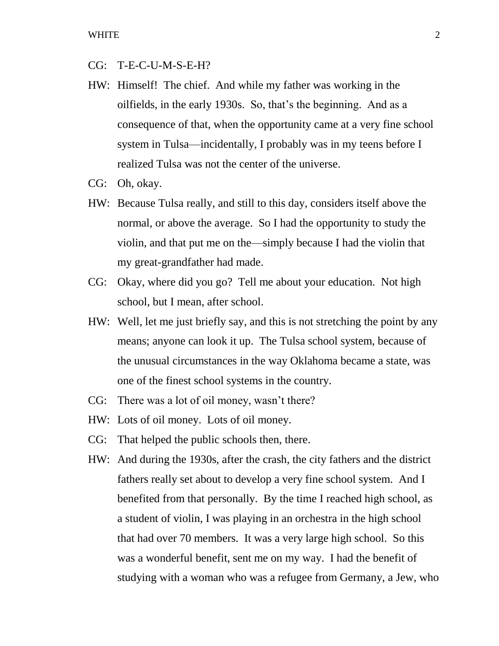- CG: T-E-C-U-M-S-E-H?
- HW: Himself! The chief. And while my father was working in the oilfields, in the early 1930s. So, that's the beginning. And as a consequence of that, when the opportunity came at a very fine school system in Tulsa—incidentally, I probably was in my teens before I realized Tulsa was not the center of the universe.
- CG: Oh, okay.
- HW: Because Tulsa really, and still to this day, considers itself above the normal, or above the average. So I had the opportunity to study the violin, and that put me on the—simply because I had the violin that my great-grandfather had made.
- CG: Okay, where did you go? Tell me about your education. Not high school, but I mean, after school.
- HW: Well, let me just briefly say, and this is not stretching the point by any means; anyone can look it up. The Tulsa school system, because of the unusual circumstances in the way Oklahoma became a state, was one of the finest school systems in the country.
- CG: There was a lot of oil money, wasn't there?
- HW: Lots of oil money. Lots of oil money.
- CG: That helped the public schools then, there.
- HW: And during the 1930s, after the crash, the city fathers and the district fathers really set about to develop a very fine school system. And I benefited from that personally. By the time I reached high school, as a student of violin, I was playing in an orchestra in the high school that had over 70 members. It was a very large high school. So this was a wonderful benefit, sent me on my way. I had the benefit of studying with a woman who was a refugee from Germany, a Jew, who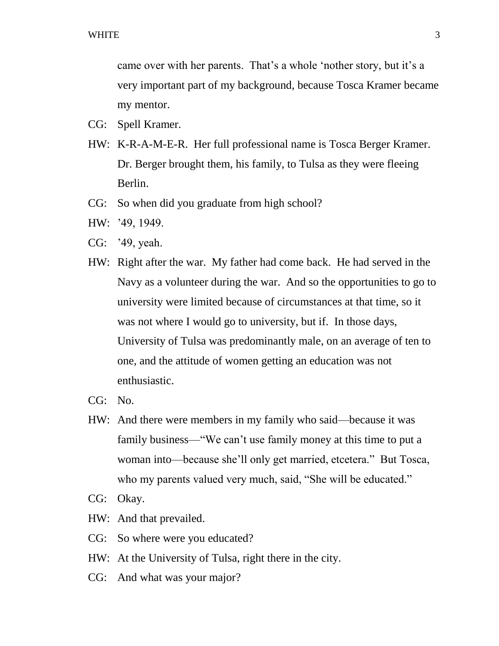came over with her parents. That's a whole 'nother story, but it's a very important part of my background, because Tosca Kramer became my mentor.

- CG: Spell Kramer.
- HW: K-R-A-M-E-R. Her full professional name is Tosca Berger Kramer. Dr. Berger brought them, his family, to Tulsa as they were fleeing Berlin.
- CG: So when did you graduate from high school?
- HW: '49, 1949.
- CG: '49, yeah.
- HW: Right after the war. My father had come back. He had served in the Navy as a volunteer during the war. And so the opportunities to go to university were limited because of circumstances at that time, so it was not where I would go to university, but if. In those days, University of Tulsa was predominantly male, on an average of ten to one, and the attitude of women getting an education was not enthusiastic.
- CG: No.
- HW: And there were members in my family who said—because it was family business—"We can't use family money at this time to put a woman into—because she'll only get married, etcetera." But Tosca, who my parents valued very much, said, "She will be educated."
- CG: Okay.
- HW: And that prevailed.
- CG: So where were you educated?
- HW: At the University of Tulsa, right there in the city.
- CG: And what was your major?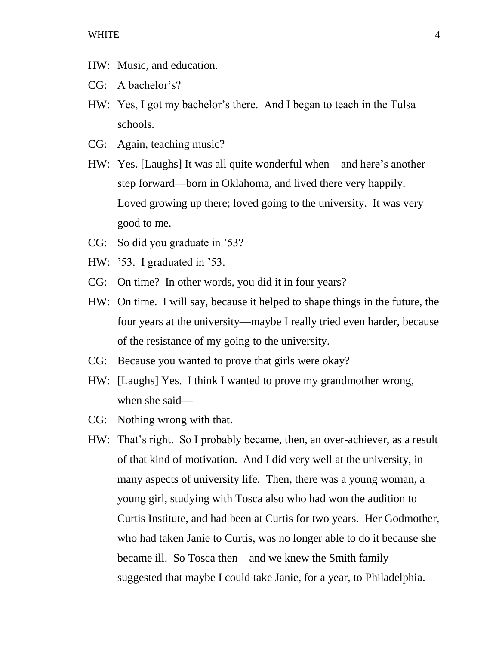HW: Music, and education.

CG: A bachelor's?

- HW: Yes, I got my bachelor's there. And I began to teach in the Tulsa schools.
- CG: Again, teaching music?
- HW: Yes. [Laughs] It was all quite wonderful when—and here's another step forward—born in Oklahoma, and lived there very happily. Loved growing up there; loved going to the university. It was very good to me.
- CG: So did you graduate in '53?
- HW: '53. I graduated in '53.
- CG: On time? In other words, you did it in four years?
- HW: On time. I will say, because it helped to shape things in the future, the four years at the university—maybe I really tried even harder, because of the resistance of my going to the university.
- CG: Because you wanted to prove that girls were okay?
- HW: [Laughs] Yes. I think I wanted to prove my grandmother wrong, when she said—
- CG: Nothing wrong with that.
- HW: That's right. So I probably became, then, an over-achiever, as a result of that kind of motivation. And I did very well at the university, in many aspects of university life. Then, there was a young woman, a young girl, studying with Tosca also who had won the audition to Curtis Institute, and had been at Curtis for two years. Her Godmother, who had taken Janie to Curtis, was no longer able to do it because she became ill. So Tosca then—and we knew the Smith family suggested that maybe I could take Janie, for a year, to Philadelphia.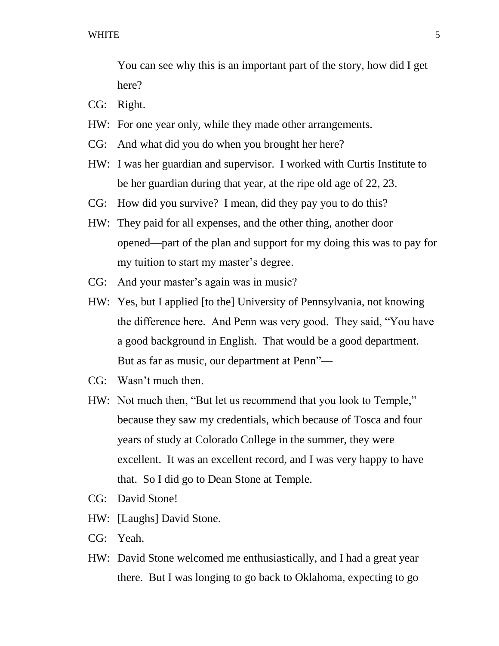You can see why this is an important part of the story, how did I get here?

- CG: Right.
- HW: For one year only, while they made other arrangements.
- CG: And what did you do when you brought her here?
- HW: I was her guardian and supervisor. I worked with Curtis Institute to be her guardian during that year, at the ripe old age of 22, 23.
- CG: How did you survive? I mean, did they pay you to do this?
- HW: They paid for all expenses, and the other thing, another door opened—part of the plan and support for my doing this was to pay for my tuition to start my master's degree.
- CG: And your master's again was in music?
- HW: Yes, but I applied [to the] University of Pennsylvania, not knowing the difference here. And Penn was very good. They said, "You have a good background in English. That would be a good department. But as far as music, our department at Penn"—
- CG: Wasn't much then.
- HW: Not much then, "But let us recommend that you look to Temple," because they saw my credentials, which because of Tosca and four years of study at Colorado College in the summer, they were excellent. It was an excellent record, and I was very happy to have that. So I did go to Dean Stone at Temple.
- CG: David Stone!
- HW: [Laughs] David Stone.
- CG: Yeah.
- HW: David Stone welcomed me enthusiastically, and I had a great year there. But I was longing to go back to Oklahoma, expecting to go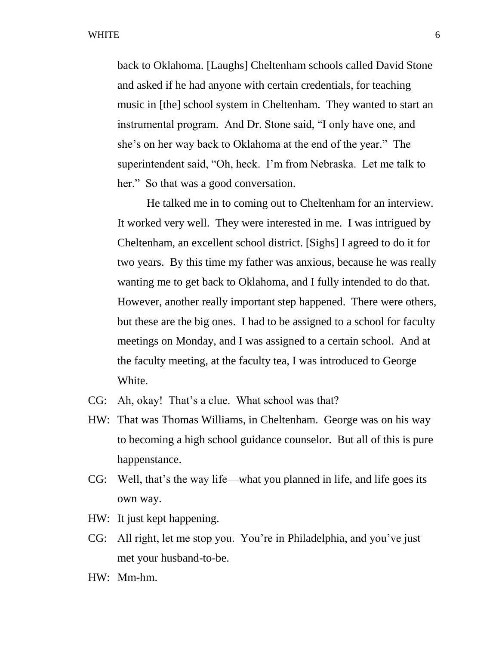back to Oklahoma. [Laughs] Cheltenham schools called David Stone and asked if he had anyone with certain credentials, for teaching music in [the] school system in Cheltenham. They wanted to start an instrumental program. And Dr. Stone said, "I only have one, and she's on her way back to Oklahoma at the end of the year." The superintendent said, "Oh, heck. I'm from Nebraska. Let me talk to her." So that was a good conversation.

He talked me in to coming out to Cheltenham for an interview. It worked very well. They were interested in me. I was intrigued by Cheltenham, an excellent school district. [Sighs] I agreed to do it for two years. By this time my father was anxious, because he was really wanting me to get back to Oklahoma, and I fully intended to do that. However, another really important step happened. There were others, but these are the big ones. I had to be assigned to a school for faculty meetings on Monday, and I was assigned to a certain school. And at the faculty meeting, at the faculty tea, I was introduced to George White.

- CG: Ah, okay! That's a clue. What school was that?
- HW: That was Thomas Williams, in Cheltenham. George was on his way to becoming a high school guidance counselor. But all of this is pure happenstance.
- CG: Well, that's the way life—what you planned in life, and life goes its own way.
- HW: It just kept happening.
- CG: All right, let me stop you. You're in Philadelphia, and you've just met your husband-to-be.
- HW: Mm-hm.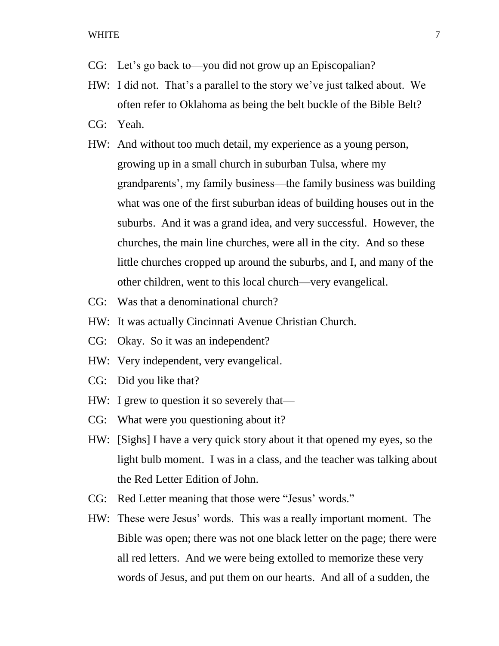- CG: Let's go back to—you did not grow up an Episcopalian?
- HW: I did not. That's a parallel to the story we've just talked about. We often refer to Oklahoma as being the belt buckle of the Bible Belt?
- CG: Yeah.
- HW: And without too much detail, my experience as a young person, growing up in a small church in suburban Tulsa, where my grandparents', my family business—the family business was building what was one of the first suburban ideas of building houses out in the suburbs. And it was a grand idea, and very successful. However, the churches, the main line churches, were all in the city. And so these little churches cropped up around the suburbs, and I, and many of the other children, went to this local church—very evangelical.
- CG: Was that a denominational church?
- HW: It was actually Cincinnati Avenue Christian Church.
- CG: Okay. So it was an independent?
- HW: Very independent, very evangelical.
- CG: Did you like that?
- HW: I grew to question it so severely that—
- CG: What were you questioning about it?
- HW: [Sighs] I have a very quick story about it that opened my eyes, so the light bulb moment. I was in a class, and the teacher was talking about the Red Letter Edition of John.
- CG: Red Letter meaning that those were "Jesus' words."
- HW: These were Jesus' words. This was a really important moment. The Bible was open; there was not one black letter on the page; there were all red letters. And we were being extolled to memorize these very words of Jesus, and put them on our hearts. And all of a sudden, the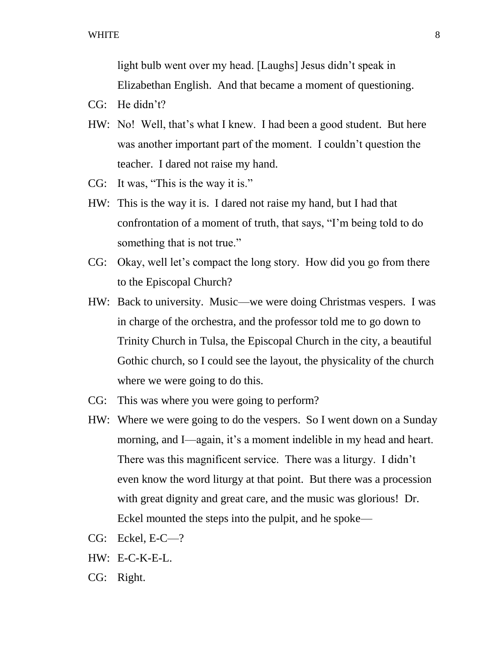light bulb went over my head. [Laughs] Jesus didn't speak in Elizabethan English. And that became a moment of questioning.

- CG: He didn't?
- HW: No! Well, that's what I knew. I had been a good student. But here was another important part of the moment. I couldn't question the teacher. I dared not raise my hand.
- CG: It was, "This is the way it is."
- HW: This is the way it is. I dared not raise my hand, but I had that confrontation of a moment of truth, that says, "I'm being told to do something that is not true."
- CG: Okay, well let's compact the long story. How did you go from there to the Episcopal Church?
- HW: Back to university. Music—we were doing Christmas vespers. I was in charge of the orchestra, and the professor told me to go down to Trinity Church in Tulsa, the Episcopal Church in the city, a beautiful Gothic church, so I could see the layout, the physicality of the church where we were going to do this.
- CG: This was where you were going to perform?
- HW: Where we were going to do the vespers. So I went down on a Sunday morning, and I—again, it's a moment indelible in my head and heart. There was this magnificent service. There was a liturgy. I didn't even know the word liturgy at that point. But there was a procession with great dignity and great care, and the music was glorious! Dr. Eckel mounted the steps into the pulpit, and he spoke—
- CG: Eckel, E-C—?
- HW: E-C-K-E-L.
- CG: Right.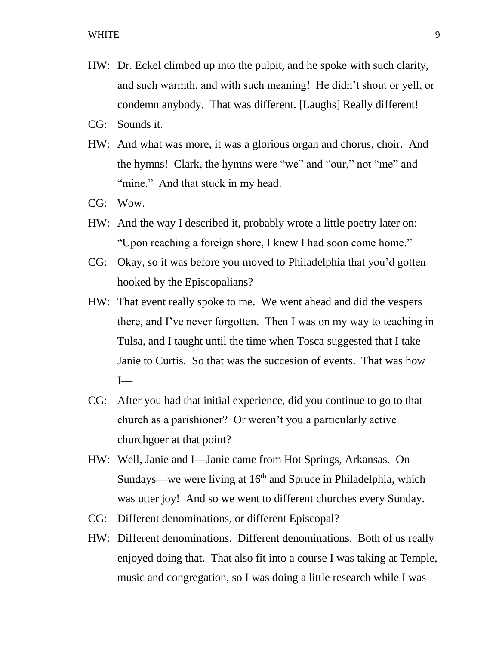- HW: Dr. Eckel climbed up into the pulpit, and he spoke with such clarity, and such warmth, and with such meaning! He didn't shout or yell, or condemn anybody. That was different. [Laughs] Really different!
- CG: Sounds it.
- HW: And what was more, it was a glorious organ and chorus, choir. And the hymns! Clark, the hymns were "we" and "our," not "me" and "mine." And that stuck in my head.
- CG: Wow.
- HW: And the way I described it, probably wrote a little poetry later on: "Upon reaching a foreign shore, I knew I had soon come home."
- CG: Okay, so it was before you moved to Philadelphia that you'd gotten hooked by the Episcopalians?
- HW: That event really spoke to me. We went ahead and did the vespers there, and I've never forgotten. Then I was on my way to teaching in Tulsa, and I taught until the time when Tosca suggested that I take Janie to Curtis. So that was the succesion of events. That was how  $I$ —
- CG: After you had that initial experience, did you continue to go to that church as a parishioner? Or weren't you a particularly active churchgoer at that point?
- HW: Well, Janie and I—Janie came from Hot Springs, Arkansas. On Sundays—we were living at  $16<sup>th</sup>$  and Spruce in Philadelphia, which was utter joy! And so we went to different churches every Sunday.
- CG: Different denominations, or different Episcopal?
- HW: Different denominations. Different denominations. Both of us really enjoyed doing that. That also fit into a course I was taking at Temple, music and congregation, so I was doing a little research while I was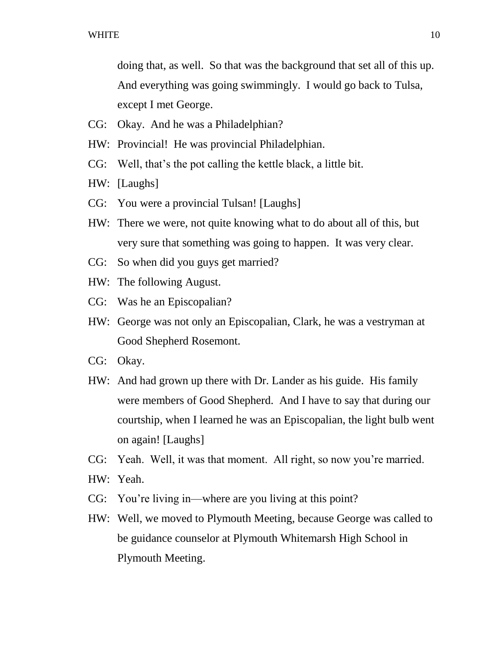doing that, as well. So that was the background that set all of this up. And everything was going swimmingly. I would go back to Tulsa, except I met George.

- CG: Okay. And he was a Philadelphian?
- HW: Provincial! He was provincial Philadelphian.
- CG: Well, that's the pot calling the kettle black, a little bit.
- HW: [Laughs]
- CG: You were a provincial Tulsan! [Laughs]
- HW: There we were, not quite knowing what to do about all of this, but very sure that something was going to happen. It was very clear.
- CG: So when did you guys get married?
- HW: The following August.
- CG: Was he an Episcopalian?
- HW: George was not only an Episcopalian, Clark, he was a vestryman at Good Shepherd Rosemont.
- CG: Okay.
- HW: And had grown up there with Dr. Lander as his guide. His family were members of Good Shepherd. And I have to say that during our courtship, when I learned he was an Episcopalian, the light bulb went on again! [Laughs]
- CG: Yeah. Well, it was that moment. All right, so now you're married.
- HW: Yeah.
- CG: You're living in—where are you living at this point?
- HW: Well, we moved to Plymouth Meeting, because George was called to be guidance counselor at Plymouth Whitemarsh High School in Plymouth Meeting.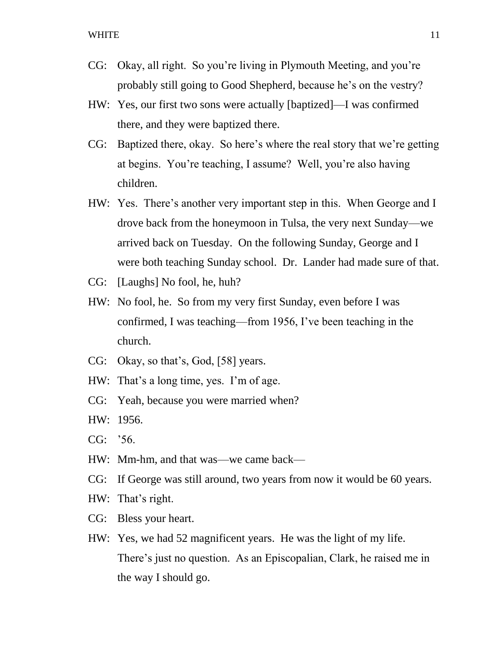- CG: Okay, all right. So you're living in Plymouth Meeting, and you're probably still going to Good Shepherd, because he's on the vestry?
- HW: Yes, our first two sons were actually [baptized]—I was confirmed there, and they were baptized there.
- CG: Baptized there, okay. So here's where the real story that we're getting at begins. You're teaching, I assume? Well, you're also having children.
- HW: Yes. There's another very important step in this. When George and I drove back from the honeymoon in Tulsa, the very next Sunday—we arrived back on Tuesday. On the following Sunday, George and I were both teaching Sunday school. Dr. Lander had made sure of that.
- CG: [Laughs] No fool, he, huh?
- HW: No fool, he. So from my very first Sunday, even before I was confirmed, I was teaching—from 1956, I've been teaching in the church.
- CG: Okay, so that's, God, [58] years.
- HW: That's a long time, yes. I'm of age.
- CG: Yeah, because you were married when?
- HW: 1956.
- CG: '56.
- HW: Mm-hm, and that was—we came back—
- CG: If George was still around, two years from now it would be 60 years.
- HW: That's right.
- CG: Bless your heart.
- HW: Yes, we had 52 magnificent years. He was the light of my life. There's just no question. As an Episcopalian, Clark, he raised me in the way I should go.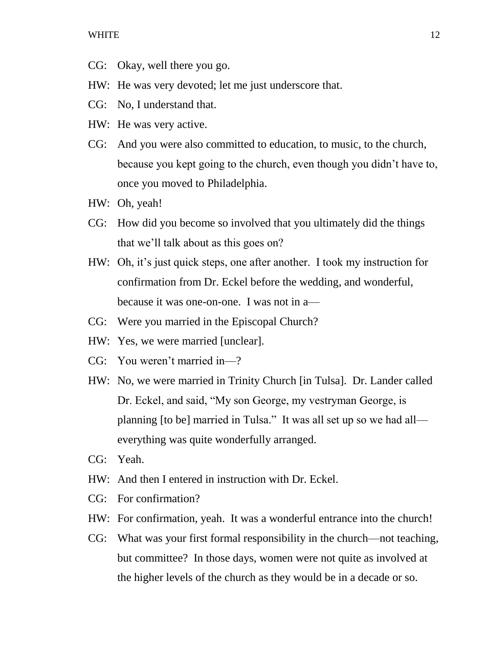- CG: Okay, well there you go.
- HW: He was very devoted; let me just underscore that.
- CG: No, I understand that.
- HW: He was very active.
- CG: And you were also committed to education, to music, to the church, because you kept going to the church, even though you didn't have to, once you moved to Philadelphia.
- HW: Oh, yeah!
- CG: How did you become so involved that you ultimately did the things that we'll talk about as this goes on?
- HW: Oh, it's just quick steps, one after another. I took my instruction for confirmation from Dr. Eckel before the wedding, and wonderful, because it was one-on-one. I was not in a—
- CG: Were you married in the Episcopal Church?
- HW: Yes, we were married [unclear].
- CG: You weren't married in—?
- HW: No, we were married in Trinity Church [in Tulsa]. Dr. Lander called Dr. Eckel, and said, "My son George, my vestryman George, is planning [to be] married in Tulsa." It was all set up so we had all everything was quite wonderfully arranged.
- CG: Yeah.
- HW: And then I entered in instruction with Dr. Eckel.
- CG: For confirmation?
- HW: For confirmation, yeah. It was a wonderful entrance into the church!
- CG: What was your first formal responsibility in the church—not teaching, but committee? In those days, women were not quite as involved at the higher levels of the church as they would be in a decade or so.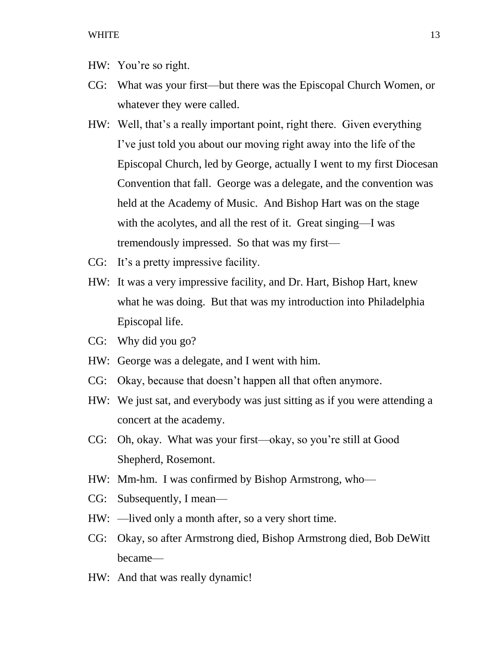- HW: You're so right.
- CG: What was your first—but there was the Episcopal Church Women, or whatever they were called.
- HW: Well, that's a really important point, right there. Given everything I've just told you about our moving right away into the life of the Episcopal Church, led by George, actually I went to my first Diocesan Convention that fall. George was a delegate, and the convention was held at the Academy of Music. And Bishop Hart was on the stage with the acolytes, and all the rest of it. Great singing—I was tremendously impressed. So that was my first—
- CG: It's a pretty impressive facility.
- HW: It was a very impressive facility, and Dr. Hart, Bishop Hart, knew what he was doing. But that was my introduction into Philadelphia Episcopal life.
- CG: Why did you go?
- HW: George was a delegate, and I went with him.
- CG: Okay, because that doesn't happen all that often anymore.
- HW: We just sat, and everybody was just sitting as if you were attending a concert at the academy.
- CG: Oh, okay. What was your first—okay, so you're still at Good Shepherd, Rosemont.
- HW: Mm-hm. I was confirmed by Bishop Armstrong, who—
- CG: Subsequently, I mean—
- HW: —lived only a month after, so a very short time.
- CG: Okay, so after Armstrong died, Bishop Armstrong died, Bob DeWitt became—
- HW: And that was really dynamic!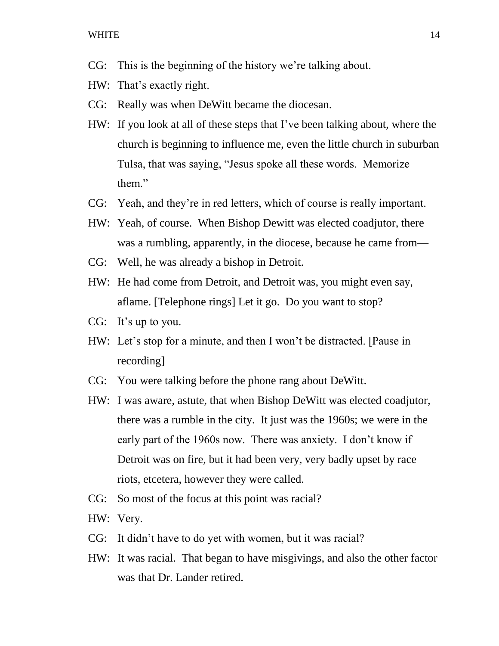- CG: This is the beginning of the history we're talking about.
- HW: That's exactly right.
- CG: Really was when DeWitt became the diocesan.
- HW: If you look at all of these steps that I've been talking about, where the church is beginning to influence me, even the little church in suburban Tulsa, that was saying, "Jesus spoke all these words. Memorize them."
- CG: Yeah, and they're in red letters, which of course is really important.
- HW: Yeah, of course. When Bishop Dewitt was elected coadjutor, there was a rumbling, apparently, in the diocese, because he came from—
- CG: Well, he was already a bishop in Detroit.
- HW: He had come from Detroit, and Detroit was, you might even say, aflame. [Telephone rings] Let it go. Do you want to stop?
- CG: It's up to you.
- HW: Let's stop for a minute, and then I won't be distracted. [Pause in recording]
- CG: You were talking before the phone rang about DeWitt.
- HW: I was aware, astute, that when Bishop DeWitt was elected coadjutor, there was a rumble in the city. It just was the 1960s; we were in the early part of the 1960s now. There was anxiety. I don't know if Detroit was on fire, but it had been very, very badly upset by race riots, etcetera, however they were called.
- CG: So most of the focus at this point was racial?
- HW: Very.
- CG: It didn't have to do yet with women, but it was racial?
- HW: It was racial. That began to have misgivings, and also the other factor was that Dr. Lander retired.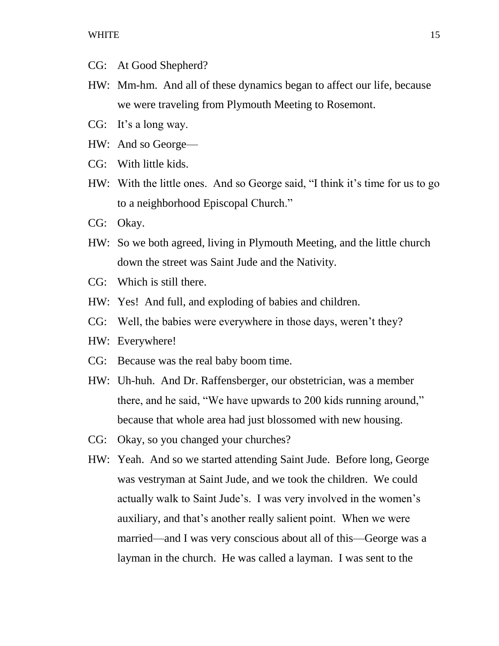- CG: At Good Shepherd?
- HW: Mm-hm. And all of these dynamics began to affect our life, because we were traveling from Plymouth Meeting to Rosemont.
- CG: It's a long way.
- HW: And so George—
- CG: With little kids.
- HW: With the little ones. And so George said, "I think it's time for us to go to a neighborhood Episcopal Church."
- CG: Okay.
- HW: So we both agreed, living in Plymouth Meeting, and the little church down the street was Saint Jude and the Nativity.
- CG: Which is still there.
- HW: Yes! And full, and exploding of babies and children.
- CG: Well, the babies were everywhere in those days, weren't they?
- HW: Everywhere!
- CG: Because was the real baby boom time.
- HW: Uh-huh. And Dr. Raffensberger, our obstetrician, was a member there, and he said, "We have upwards to 200 kids running around," because that whole area had just blossomed with new housing.
- CG: Okay, so you changed your churches?
- HW: Yeah. And so we started attending Saint Jude. Before long, George was vestryman at Saint Jude, and we took the children. We could actually walk to Saint Jude's. I was very involved in the women's auxiliary, and that's another really salient point. When we were married—and I was very conscious about all of this—George was a layman in the church. He was called a layman. I was sent to the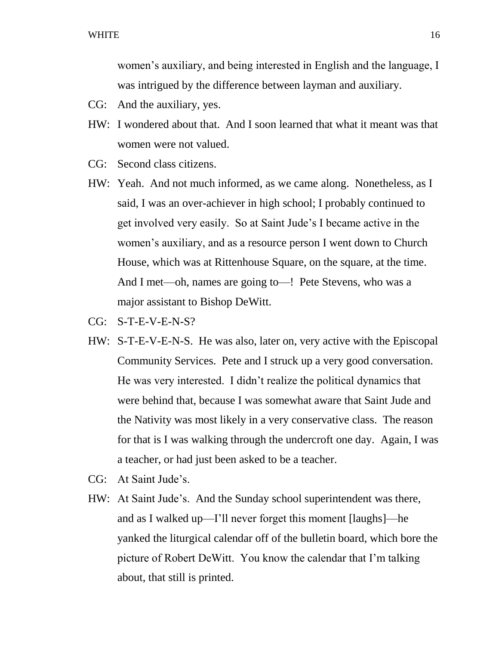women's auxiliary, and being interested in English and the language, I was intrigued by the difference between layman and auxiliary.

- CG: And the auxiliary, yes.
- HW: I wondered about that. And I soon learned that what it meant was that women were not valued.
- CG: Second class citizens.
- HW: Yeah. And not much informed, as we came along. Nonetheless, as I said, I was an over-achiever in high school; I probably continued to get involved very easily. So at Saint Jude's I became active in the women's auxiliary, and as a resource person I went down to Church House, which was at Rittenhouse Square, on the square, at the time. And I met—oh, names are going to—! Pete Stevens, who was a major assistant to Bishop DeWitt.
- CG: S-T-E-V-E-N-S?
- HW: S-T-E-V-E-N-S. He was also, later on, very active with the Episcopal Community Services. Pete and I struck up a very good conversation. He was very interested. I didn't realize the political dynamics that were behind that, because I was somewhat aware that Saint Jude and the Nativity was most likely in a very conservative class. The reason for that is I was walking through the undercroft one day. Again, I was a teacher, or had just been asked to be a teacher.
- CG: At Saint Jude's.
- HW: At Saint Jude's. And the Sunday school superintendent was there, and as I walked up—I'll never forget this moment [laughs]—he yanked the liturgical calendar off of the bulletin board, which bore the picture of Robert DeWitt. You know the calendar that I'm talking about, that still is printed.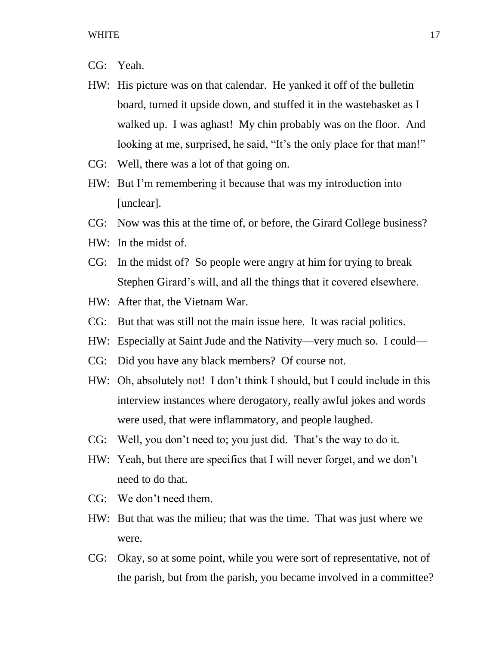- CG: Yeah.
- HW: His picture was on that calendar. He yanked it off of the bulletin board, turned it upside down, and stuffed it in the wastebasket as I walked up. I was aghast! My chin probably was on the floor. And looking at me, surprised, he said, "It's the only place for that man!"
- CG: Well, there was a lot of that going on.
- HW: But I'm remembering it because that was my introduction into [unclear].
- CG: Now was this at the time of, or before, the Girard College business?
- HW: In the midst of.
- CG: In the midst of? So people were angry at him for trying to break Stephen Girard's will, and all the things that it covered elsewhere.
- HW: After that, the Vietnam War.
- CG: But that was still not the main issue here. It was racial politics.
- HW: Especially at Saint Jude and the Nativity—very much so. I could—
- CG: Did you have any black members? Of course not.
- HW: Oh, absolutely not! I don't think I should, but I could include in this interview instances where derogatory, really awful jokes and words were used, that were inflammatory, and people laughed.
- CG: Well, you don't need to; you just did. That's the way to do it.
- HW: Yeah, but there are specifics that I will never forget, and we don't need to do that.
- CG: We don't need them.
- HW: But that was the milieu; that was the time. That was just where we were.
- CG: Okay, so at some point, while you were sort of representative, not of the parish, but from the parish, you became involved in a committee?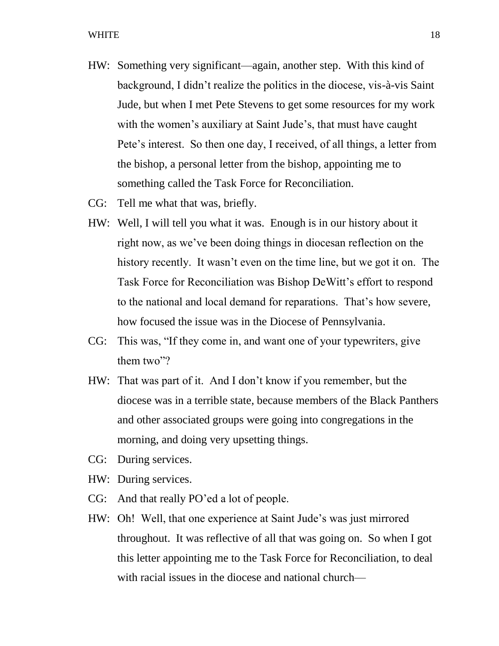- HW: Something very significant—again, another step. With this kind of background, I didn't realize the politics in the diocese, vis-à-vis Saint Jude, but when I met Pete Stevens to get some resources for my work with the women's auxiliary at Saint Jude's, that must have caught Pete's interest. So then one day, I received, of all things, a letter from the bishop, a personal letter from the bishop, appointing me to something called the Task Force for Reconciliation.
- CG: Tell me what that was, briefly.
- HW: Well, I will tell you what it was. Enough is in our history about it right now, as we've been doing things in diocesan reflection on the history recently. It wasn't even on the time line, but we got it on. The Task Force for Reconciliation was Bishop DeWitt's effort to respond to the national and local demand for reparations. That's how severe, how focused the issue was in the Diocese of Pennsylvania.
- CG: This was, "If they come in, and want one of your typewriters, give them two"?
- HW: That was part of it. And I don't know if you remember, but the diocese was in a terrible state, because members of the Black Panthers and other associated groups were going into congregations in the morning, and doing very upsetting things.
- CG: During services.
- HW: During services.
- CG: And that really PO'ed a lot of people.
- HW: Oh! Well, that one experience at Saint Jude's was just mirrored throughout. It was reflective of all that was going on. So when I got this letter appointing me to the Task Force for Reconciliation, to deal with racial issues in the diocese and national church—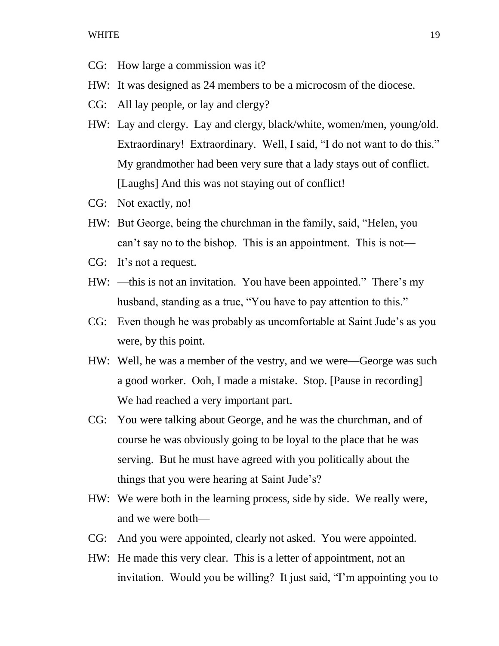- CG: How large a commission was it?
- HW: It was designed as 24 members to be a microcosm of the diocese.
- CG: All lay people, or lay and clergy?
- HW: Lay and clergy. Lay and clergy, black/white, women/men, young/old. Extraordinary! Extraordinary. Well, I said, "I do not want to do this." My grandmother had been very sure that a lady stays out of conflict. [Laughs] And this was not staying out of conflict!
- CG: Not exactly, no!
- HW: But George, being the churchman in the family, said, "Helen, you can't say no to the bishop. This is an appointment. This is not—
- CG: It's not a request.
- HW: —this is not an invitation. You have been appointed." There's my husband, standing as a true, "You have to pay attention to this."
- CG: Even though he was probably as uncomfortable at Saint Jude's as you were, by this point.
- HW: Well, he was a member of the vestry, and we were—George was such a good worker. Ooh, I made a mistake. Stop. [Pause in recording] We had reached a very important part.
- CG: You were talking about George, and he was the churchman, and of course he was obviously going to be loyal to the place that he was serving. But he must have agreed with you politically about the things that you were hearing at Saint Jude's?
- HW: We were both in the learning process, side by side. We really were, and we were both—
- CG: And you were appointed, clearly not asked. You were appointed.
- HW: He made this very clear. This is a letter of appointment, not an invitation. Would you be willing? It just said, "I'm appointing you to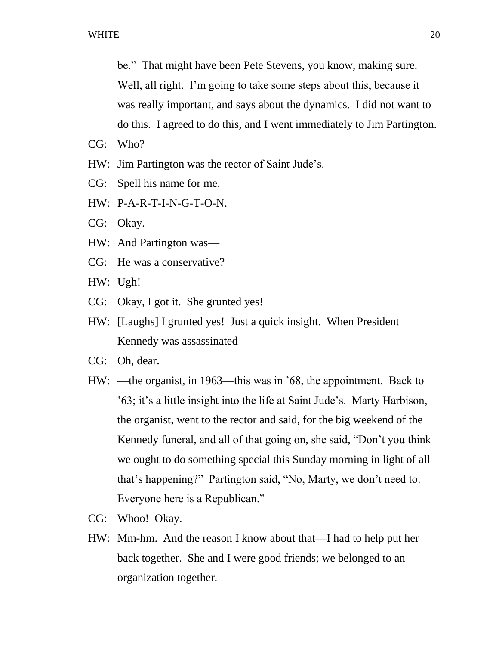be." That might have been Pete Stevens, you know, making sure. Well, all right. I'm going to take some steps about this, because it was really important, and says about the dynamics. I did not want to do this. I agreed to do this, and I went immediately to Jim Partington.

CG: Who?

- HW: Jim Partington was the rector of Saint Jude's.
- CG: Spell his name for me.
- HW: P-A-R-T-I-N-G-T-O-N.
- CG: Okay.
- HW: And Partington was—
- CG: He was a conservative?
- HW: Ugh!
- CG: Okay, I got it. She grunted yes!
- HW: [Laughs] I grunted yes! Just a quick insight. When President Kennedy was assassinated—
- CG: Oh, dear.
- HW: —the organist, in 1963—this was in '68, the appointment. Back to '63; it's a little insight into the life at Saint Jude's. Marty Harbison, the organist, went to the rector and said, for the big weekend of the Kennedy funeral, and all of that going on, she said, "Don't you think we ought to do something special this Sunday morning in light of all that's happening?" Partington said, "No, Marty, we don't need to. Everyone here is a Republican."
- CG: Whoo! Okay.
- HW: Mm-hm. And the reason I know about that—I had to help put her back together. She and I were good friends; we belonged to an organization together.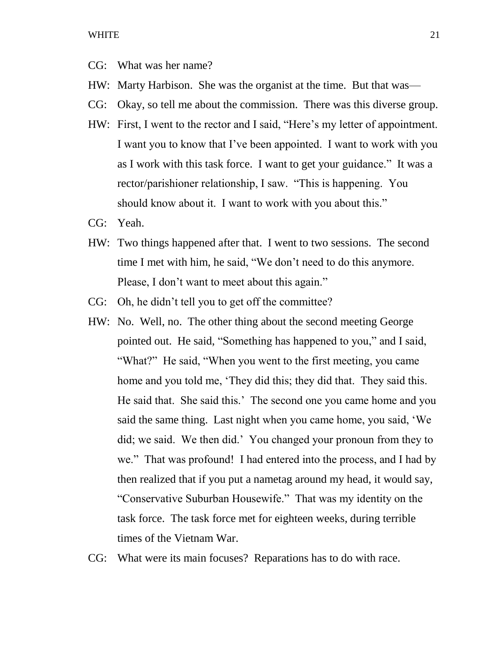- CG: What was her name?
- HW: Marty Harbison. She was the organist at the time. But that was—
- CG: Okay, so tell me about the commission. There was this diverse group.
- HW: First, I went to the rector and I said, "Here's my letter of appointment. I want you to know that I've been appointed. I want to work with you as I work with this task force. I want to get your guidance." It was a rector/parishioner relationship, I saw. "This is happening. You should know about it. I want to work with you about this."
- CG: Yeah.
- HW: Two things happened after that. I went to two sessions. The second time I met with him, he said, "We don't need to do this anymore. Please, I don't want to meet about this again."
- CG: Oh, he didn't tell you to get off the committee?
- HW: No. Well, no. The other thing about the second meeting George pointed out. He said, "Something has happened to you," and I said, "What?" He said, "When you went to the first meeting, you came home and you told me, 'They did this; they did that. They said this. He said that. She said this.' The second one you came home and you said the same thing. Last night when you came home, you said, 'We did; we said. We then did.' You changed your pronoun from they to we." That was profound! I had entered into the process, and I had by then realized that if you put a nametag around my head, it would say, "Conservative Suburban Housewife." That was my identity on the task force. The task force met for eighteen weeks, during terrible times of the Vietnam War.
- CG: What were its main focuses? Reparations has to do with race.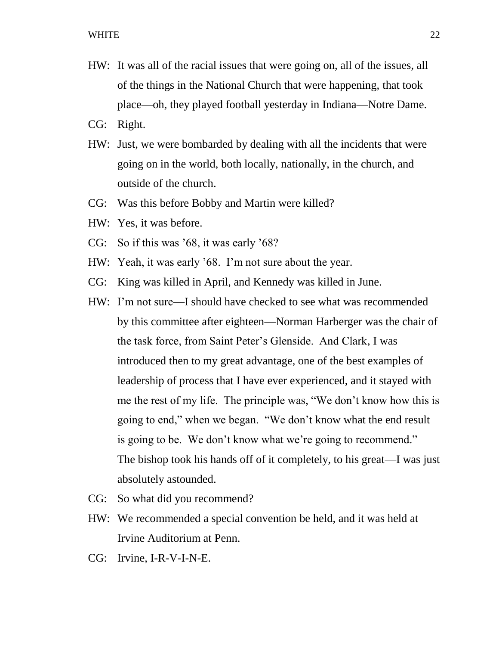- HW: It was all of the racial issues that were going on, all of the issues, all of the things in the National Church that were happening, that took place—oh, they played football yesterday in Indiana—Notre Dame.
- CG: Right.
- HW: Just, we were bombarded by dealing with all the incidents that were going on in the world, both locally, nationally, in the church, and outside of the church.
- CG: Was this before Bobby and Martin were killed?
- HW: Yes, it was before.
- CG: So if this was '68, it was early '68?
- HW: Yeah, it was early '68. I'm not sure about the year.
- CG: King was killed in April, and Kennedy was killed in June.
- HW: I'm not sure—I should have checked to see what was recommended by this committee after eighteen—Norman Harberger was the chair of the task force, from Saint Peter's Glenside. And Clark, I was introduced then to my great advantage, one of the best examples of leadership of process that I have ever experienced, and it stayed with me the rest of my life. The principle was, "We don't know how this is going to end," when we began. "We don't know what the end result is going to be. We don't know what we're going to recommend." The bishop took his hands off of it completely, to his great—I was just absolutely astounded.
- CG: So what did you recommend?
- HW: We recommended a special convention be held, and it was held at Irvine Auditorium at Penn.
- CG: Irvine, I-R-V-I-N-E.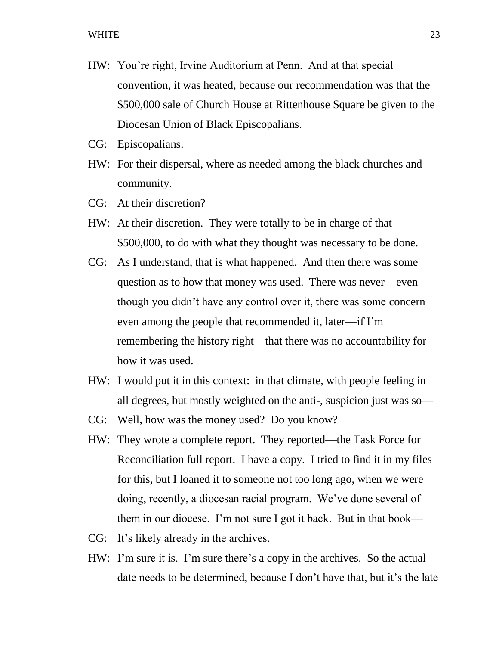- HW: You're right, Irvine Auditorium at Penn. And at that special convention, it was heated, because our recommendation was that the \$500,000 sale of Church House at Rittenhouse Square be given to the Diocesan Union of Black Episcopalians.
- CG: Episcopalians.
- HW: For their dispersal, where as needed among the black churches and community.
- CG: At their discretion?
- HW: At their discretion. They were totally to be in charge of that \$500,000, to do with what they thought was necessary to be done.
- CG: As I understand, that is what happened. And then there was some question as to how that money was used. There was never—even though you didn't have any control over it, there was some concern even among the people that recommended it, later—if I'm remembering the history right—that there was no accountability for how it was used.
- HW: I would put it in this context: in that climate, with people feeling in all degrees, but mostly weighted on the anti-, suspicion just was so—
- CG: Well, how was the money used? Do you know?
- HW: They wrote a complete report. They reported—the Task Force for Reconciliation full report. I have a copy. I tried to find it in my files for this, but I loaned it to someone not too long ago, when we were doing, recently, a diocesan racial program. We've done several of them in our diocese. I'm not sure I got it back. But in that book—
- CG: It's likely already in the archives.
- HW: I'm sure it is. I'm sure there's a copy in the archives. So the actual date needs to be determined, because I don't have that, but it's the late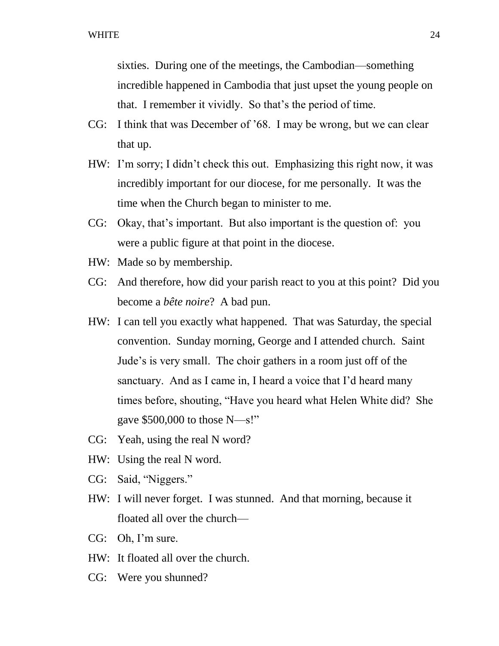sixties. During one of the meetings, the Cambodian—something incredible happened in Cambodia that just upset the young people on that. I remember it vividly. So that's the period of time.

- CG: I think that was December of '68. I may be wrong, but we can clear that up.
- HW: I'm sorry; I didn't check this out. Emphasizing this right now, it was incredibly important for our diocese, for me personally. It was the time when the Church began to minister to me.
- CG: Okay, that's important. But also important is the question of: you were a public figure at that point in the diocese.
- HW: Made so by membership.
- CG: And therefore, how did your parish react to you at this point? Did you become a *bête noire*? A bad pun.
- HW: I can tell you exactly what happened. That was Saturday, the special convention. Sunday morning, George and I attended church. Saint Jude's is very small. The choir gathers in a room just off of the sanctuary. And as I came in, I heard a voice that I'd heard many times before, shouting, "Have you heard what Helen White did? She gave \$500,000 to those N—s!"
- CG: Yeah, using the real N word?
- HW: Using the real N word.
- CG: Said, "Niggers."
- HW: I will never forget. I was stunned. And that morning, because it floated all over the church—
- CG: Oh, I'm sure.
- HW: It floated all over the church.
- CG: Were you shunned?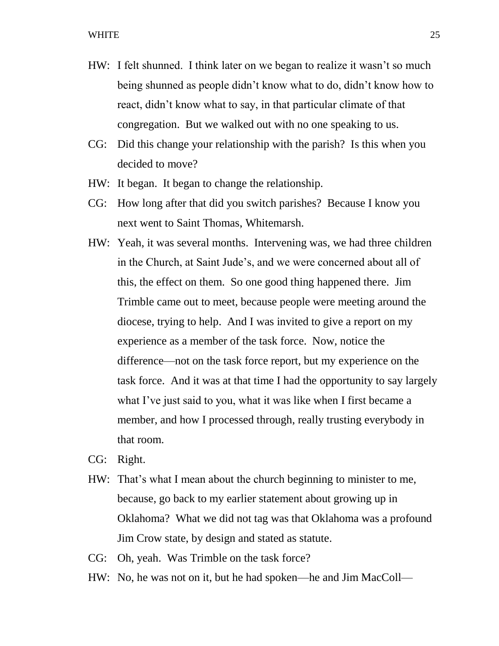- HW: I felt shunned. I think later on we began to realize it wasn't so much being shunned as people didn't know what to do, didn't know how to react, didn't know what to say, in that particular climate of that congregation. But we walked out with no one speaking to us.
- CG: Did this change your relationship with the parish? Is this when you decided to move?
- HW: It began. It began to change the relationship.
- CG: How long after that did you switch parishes? Because I know you next went to Saint Thomas, Whitemarsh.
- HW: Yeah, it was several months. Intervening was, we had three children in the Church, at Saint Jude's, and we were concerned about all of this, the effect on them. So one good thing happened there. Jim Trimble came out to meet, because people were meeting around the diocese, trying to help. And I was invited to give a report on my experience as a member of the task force. Now, notice the difference—not on the task force report, but my experience on the task force. And it was at that time I had the opportunity to say largely what I've just said to you, what it was like when I first became a member, and how I processed through, really trusting everybody in that room.
- CG: Right.
- HW: That's what I mean about the church beginning to minister to me, because, go back to my earlier statement about growing up in Oklahoma? What we did not tag was that Oklahoma was a profound Jim Crow state, by design and stated as statute.
- CG: Oh, yeah. Was Trimble on the task force?
- HW: No, he was not on it, but he had spoken—he and Jim MacColl—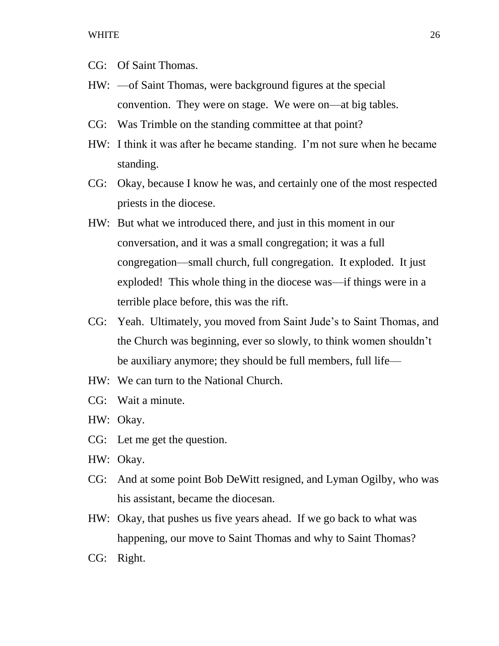- CG: Of Saint Thomas.
- HW: —of Saint Thomas, were background figures at the special convention. They were on stage. We were on—at big tables.
- CG: Was Trimble on the standing committee at that point?
- HW: I think it was after he became standing. I'm not sure when he became standing.
- CG: Okay, because I know he was, and certainly one of the most respected priests in the diocese.
- HW: But what we introduced there, and just in this moment in our conversation, and it was a small congregation; it was a full congregation—small church, full congregation. It exploded. It just exploded! This whole thing in the diocese was—if things were in a terrible place before, this was the rift.
- CG: Yeah. Ultimately, you moved from Saint Jude's to Saint Thomas, and the Church was beginning, ever so slowly, to think women shouldn't be auxiliary anymore; they should be full members, full life—
- HW: We can turn to the National Church.
- CG: Wait a minute.
- HW: Okay.
- CG: Let me get the question.
- HW: Okay.
- CG: And at some point Bob DeWitt resigned, and Lyman Ogilby, who was his assistant, became the diocesan.
- HW: Okay, that pushes us five years ahead. If we go back to what was happening, our move to Saint Thomas and why to Saint Thomas?
- CG: Right.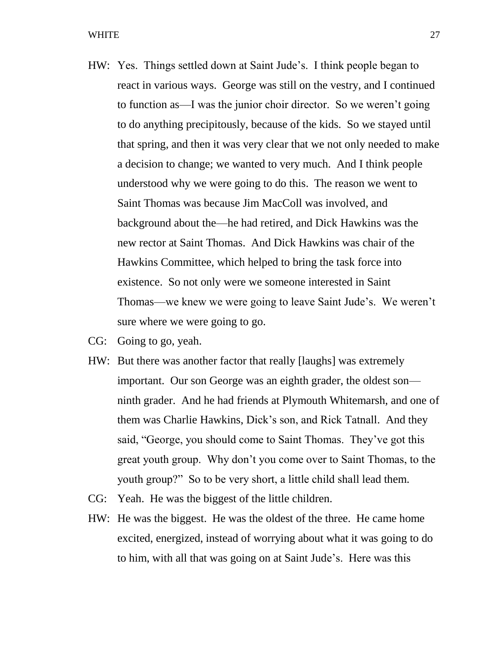- HW: Yes. Things settled down at Saint Jude's. I think people began to react in various ways. George was still on the vestry, and I continued to function as—I was the junior choir director. So we weren't going to do anything precipitously, because of the kids. So we stayed until that spring, and then it was very clear that we not only needed to make a decision to change; we wanted to very much. And I think people understood why we were going to do this. The reason we went to Saint Thomas was because Jim MacColl was involved, and background about the—he had retired, and Dick Hawkins was the new rector at Saint Thomas. And Dick Hawkins was chair of the Hawkins Committee, which helped to bring the task force into existence. So not only were we someone interested in Saint Thomas—we knew we were going to leave Saint Jude's. We weren't sure where we were going to go.
- CG: Going to go, yeah.
- HW: But there was another factor that really [laughs] was extremely important. Our son George was an eighth grader, the oldest son ninth grader. And he had friends at Plymouth Whitemarsh, and one of them was Charlie Hawkins, Dick's son, and Rick Tatnall. And they said, "George, you should come to Saint Thomas. They've got this great youth group. Why don't you come over to Saint Thomas, to the youth group?" So to be very short, a little child shall lead them.
- CG: Yeah. He was the biggest of the little children.
- HW: He was the biggest. He was the oldest of the three. He came home excited, energized, instead of worrying about what it was going to do to him, with all that was going on at Saint Jude's. Here was this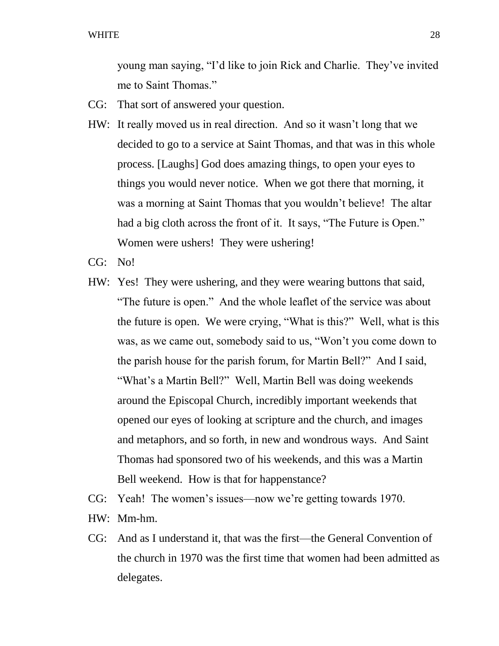young man saying, "I'd like to join Rick and Charlie. They've invited me to Saint Thomas."

- CG: That sort of answered your question.
- HW: It really moved us in real direction. And so it wasn't long that we decided to go to a service at Saint Thomas, and that was in this whole process. [Laughs] God does amazing things, to open your eyes to things you would never notice. When we got there that morning, it was a morning at Saint Thomas that you wouldn't believe! The altar had a big cloth across the front of it. It says, "The Future is Open." Women were ushers! They were ushering!
- CG: No!
- HW: Yes! They were ushering, and they were wearing buttons that said, "The future is open." And the whole leaflet of the service was about the future is open. We were crying, "What is this?" Well, what is this was, as we came out, somebody said to us, "Won't you come down to the parish house for the parish forum, for Martin Bell?" And I said, "What's a Martin Bell?" Well, Martin Bell was doing weekends around the Episcopal Church, incredibly important weekends that opened our eyes of looking at scripture and the church, and images and metaphors, and so forth, in new and wondrous ways. And Saint Thomas had sponsored two of his weekends, and this was a Martin Bell weekend. How is that for happenstance?
- CG: Yeah! The women's issues—now we're getting towards 1970.
- HW: Mm-hm.
- CG: And as I understand it, that was the first—the General Convention of the church in 1970 was the first time that women had been admitted as delegates.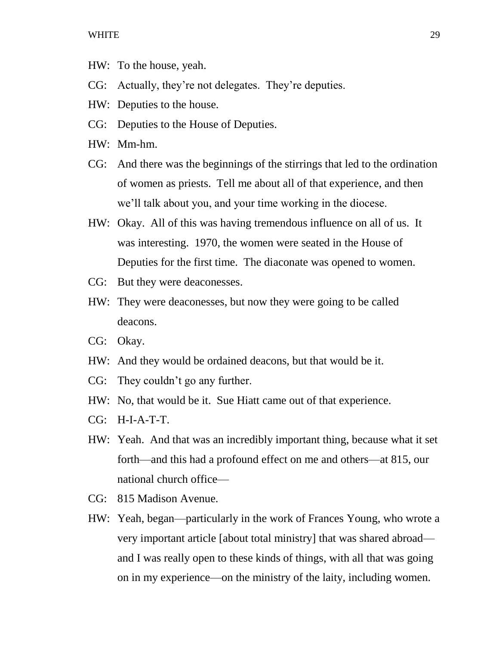- HW: To the house, yeah.
- CG: Actually, they're not delegates. They're deputies.
- HW: Deputies to the house.
- CG: Deputies to the House of Deputies.
- HW: Mm-hm.
- CG: And there was the beginnings of the stirrings that led to the ordination of women as priests. Tell me about all of that experience, and then we'll talk about you, and your time working in the diocese.
- HW: Okay. All of this was having tremendous influence on all of us. It was interesting. 1970, the women were seated in the House of Deputies for the first time. The diaconate was opened to women.
- CG: But they were deaconesses.
- HW: They were deaconesses, but now they were going to be called deacons.
- CG: Okay.
- HW: And they would be ordained deacons, but that would be it.
- CG: They couldn't go any further.
- HW: No, that would be it. Sue Hiatt came out of that experience.
- CG: H-I-A-T-T.
- HW: Yeah. And that was an incredibly important thing, because what it set forth—and this had a profound effect on me and others—at 815, our national church office—
- CG: 815 Madison Avenue.
- HW: Yeah, began—particularly in the work of Frances Young, who wrote a very important article [about total ministry] that was shared abroad and I was really open to these kinds of things, with all that was going on in my experience—on the ministry of the laity, including women.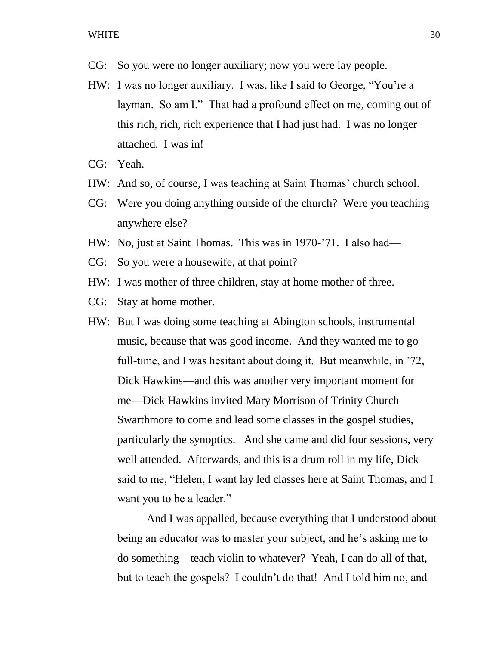- CG: So you were no longer auxiliary; now you were lay people.
- HW: I was no longer auxiliary. I was, like I said to George, "You're a layman. So am I." That had a profound effect on me, coming out of this rich, rich, rich experience that I had just had. I was no longer attached. I was in!
- CG: Yeah.
- HW: And so, of course, I was teaching at Saint Thomas' church school.
- CG: Were you doing anything outside of the church? Were you teaching anywhere else?
- HW: No, just at Saint Thomas. This was in 1970-'71. I also had—
- CG: So you were a housewife, at that point?
- HW: I was mother of three children, stay at home mother of three.
- CG: Stay at home mother.
- HW: But I was doing some teaching at Abington schools, instrumental music, because that was good income. And they wanted me to go full-time, and I was hesitant about doing it. But meanwhile, in '72, Dick Hawkins—and this was another very important moment for me—Dick Hawkins invited Mary Morrison of Trinity Church Swarthmore to come and lead some classes in the gospel studies, particularly the synoptics. And she came and did four sessions, very well attended. Afterwards, and this is a drum roll in my life, Dick said to me, "Helen, I want lay led classes here at Saint Thomas, and I want you to be a leader."

And I was appalled, because everything that I understood about being an educator was to master your subject, and he's asking me to do something—teach violin to whatever? Yeah, I can do all of that, but to teach the gospels? I couldn't do that! And I told him no, and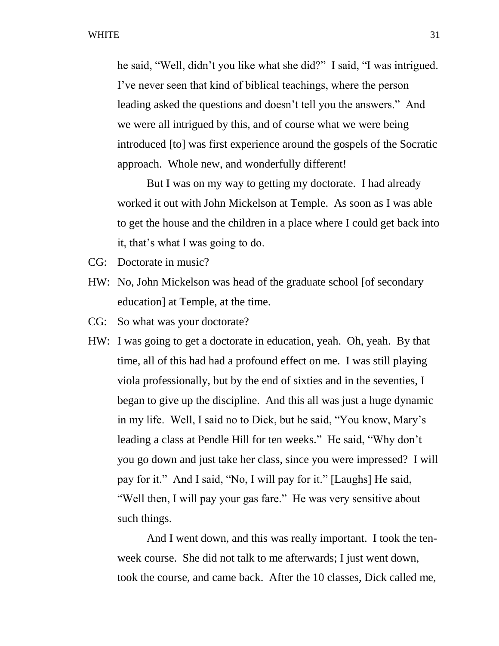he said, "Well, didn't you like what she did?" I said, "I was intrigued. I've never seen that kind of biblical teachings, where the person leading asked the questions and doesn't tell you the answers." And we were all intrigued by this, and of course what we were being introduced [to] was first experience around the gospels of the Socratic approach. Whole new, and wonderfully different!

But I was on my way to getting my doctorate. I had already worked it out with John Mickelson at Temple. As soon as I was able to get the house and the children in a place where I could get back into it, that's what I was going to do.

- CG: Doctorate in music?
- HW: No, John Mickelson was head of the graduate school [of secondary education] at Temple, at the time.
- CG: So what was your doctorate?
- HW: I was going to get a doctorate in education, yeah. Oh, yeah. By that time, all of this had had a profound effect on me. I was still playing viola professionally, but by the end of sixties and in the seventies, I began to give up the discipline. And this all was just a huge dynamic in my life. Well, I said no to Dick, but he said, "You know, Mary's leading a class at Pendle Hill for ten weeks." He said, "Why don't you go down and just take her class, since you were impressed? I will pay for it." And I said, "No, I will pay for it." [Laughs] He said, "Well then, I will pay your gas fare." He was very sensitive about such things.

And I went down, and this was really important. I took the tenweek course. She did not talk to me afterwards; I just went down, took the course, and came back. After the 10 classes, Dick called me,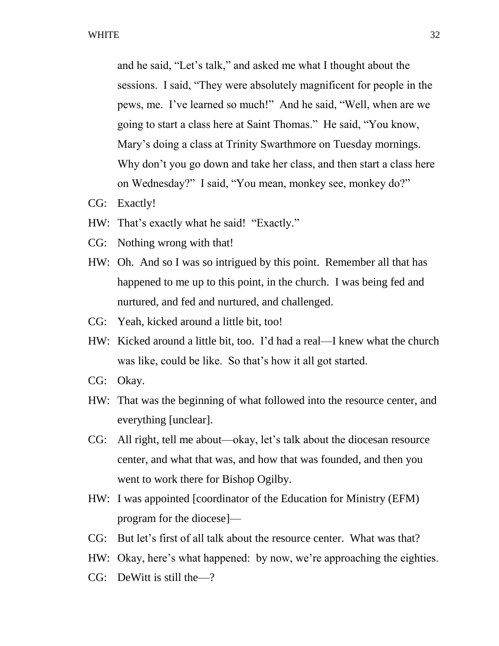and he said, "Let's talk," and asked me what I thought about the sessions. I said, "They were absolutely magnificent for people in the pews, me. I've learned so much!" And he said, "Well, when are we going to start a class here at Saint Thomas." He said, "You know, Mary's doing a class at Trinity Swarthmore on Tuesday mornings. Why don't you go down and take her class, and then start a class here on Wednesday?" I said, "You mean, monkey see, monkey do?"

- CG: Exactly!
- HW: That's exactly what he said! "Exactly."
- CG: Nothing wrong with that!
- HW: Oh. And so I was so intrigued by this point. Remember all that has happened to me up to this point, in the church. I was being fed and nurtured, and fed and nurtured, and challenged.
- CG: Yeah, kicked around a little bit, too!
- HW: Kicked around a little bit, too. I'd had a real—I knew what the church was like, could be like. So that's how it all got started.
- CG: Okay.
- HW: That was the beginning of what followed into the resource center, and everything [unclear].
- CG: All right, tell me about—okay, let's talk about the diocesan resource center, and what that was, and how that was founded, and then you went to work there for Bishop Ogilby.
- HW: I was appointed [coordinator of the Education for Ministry (EFM) program for the diocese]—
- CG: But let's first of all talk about the resource center. What was that?
- HW: Okay, here's what happened: by now, we're approaching the eighties.
- CG: DeWitt is still the—?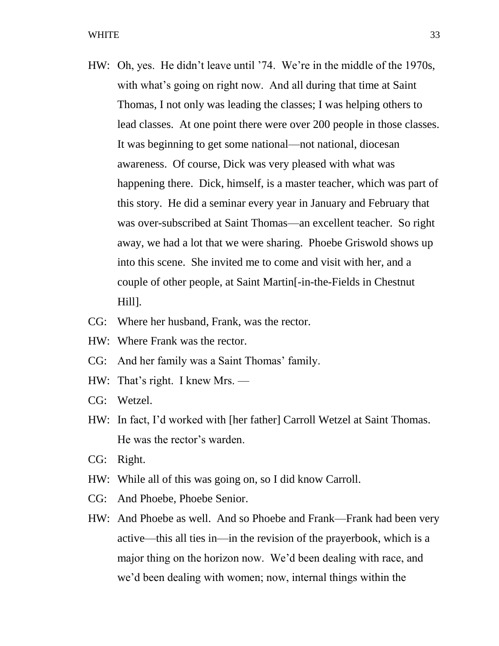- HW: Oh, yes. He didn't leave until '74. We're in the middle of the 1970s, with what's going on right now. And all during that time at Saint Thomas, I not only was leading the classes; I was helping others to lead classes. At one point there were over 200 people in those classes. It was beginning to get some national—not national, diocesan awareness. Of course, Dick was very pleased with what was happening there. Dick, himself, is a master teacher, which was part of this story. He did a seminar every year in January and February that was over-subscribed at Saint Thomas—an excellent teacher. So right away, we had a lot that we were sharing. Phoebe Griswold shows up into this scene. She invited me to come and visit with her, and a couple of other people, at Saint Martin[-in-the-Fields in Chestnut Hill].
- CG: Where her husband, Frank, was the rector.
- HW: Where Frank was the rector.
- CG: And her family was a Saint Thomas' family.
- HW: That's right. I knew Mrs. —
- CG: Wetzel.
- HW: In fact, I'd worked with [her father] Carroll Wetzel at Saint Thomas. He was the rector's warden.
- CG: Right.
- HW: While all of this was going on, so I did know Carroll.
- CG: And Phoebe, Phoebe Senior.
- HW: And Phoebe as well. And so Phoebe and Frank—Frank had been very active—this all ties in—in the revision of the prayerbook, which is a major thing on the horizon now. We'd been dealing with race, and we'd been dealing with women; now, internal things within the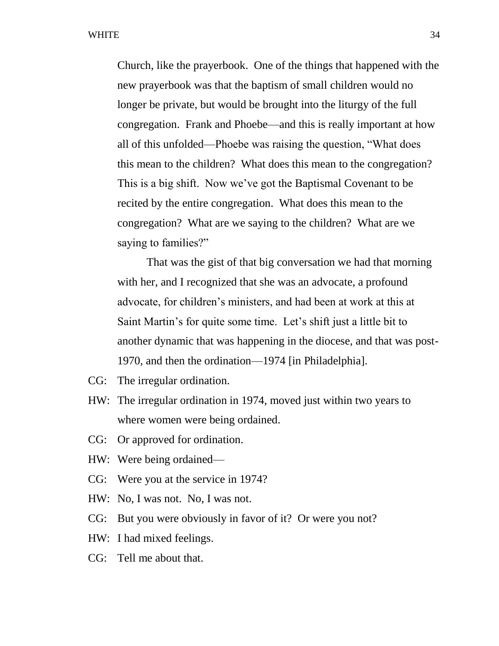Church, like the prayerbook. One of the things that happened with the new prayerbook was that the baptism of small children would no longer be private, but would be brought into the liturgy of the full congregation. Frank and Phoebe—and this is really important at how all of this unfolded—Phoebe was raising the question, "What does this mean to the children? What does this mean to the congregation? This is a big shift. Now we've got the Baptismal Covenant to be recited by the entire congregation. What does this mean to the congregation? What are we saying to the children? What are we saying to families?"

That was the gist of that big conversation we had that morning with her, and I recognized that she was an advocate, a profound advocate, for children's ministers, and had been at work at this at Saint Martin's for quite some time. Let's shift just a little bit to another dynamic that was happening in the diocese, and that was post-1970, and then the ordination—1974 [in Philadelphia].

- CG: The irregular ordination.
- HW: The irregular ordination in 1974, moved just within two years to where women were being ordained.
- CG: Or approved for ordination.
- HW: Were being ordained—
- CG: Were you at the service in 1974?
- HW: No, I was not. No, I was not.
- CG: But you were obviously in favor of it? Or were you not?
- HW: I had mixed feelings.
- CG: Tell me about that.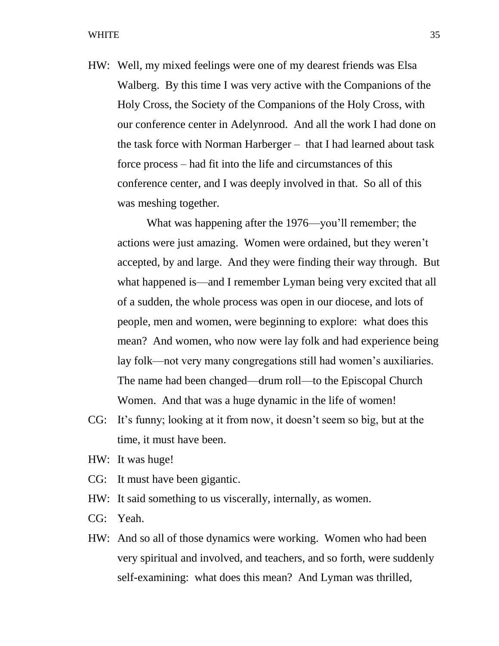HW: Well, my mixed feelings were one of my dearest friends was Elsa Walberg. By this time I was very active with the Companions of the Holy Cross, the Society of the Companions of the Holy Cross, with our conference center in Adelynrood. And all the work I had done on the task force with Norman Harberger – that I had learned about task force process – had fit into the life and circumstances of this conference center, and I was deeply involved in that. So all of this was meshing together.

What was happening after the 1976—you'll remember; the actions were just amazing. Women were ordained, but they weren't accepted, by and large. And they were finding their way through. But what happened is—and I remember Lyman being very excited that all of a sudden, the whole process was open in our diocese, and lots of people, men and women, were beginning to explore: what does this mean? And women, who now were lay folk and had experience being lay folk—not very many congregations still had women's auxiliaries. The name had been changed—drum roll—to the Episcopal Church Women. And that was a huge dynamic in the life of women!

- CG: It's funny; looking at it from now, it doesn't seem so big, but at the time, it must have been.
- HW: It was huge!
- CG: It must have been gigantic.
- HW: It said something to us viscerally, internally, as women.
- CG: Yeah.
- HW: And so all of those dynamics were working. Women who had been very spiritual and involved, and teachers, and so forth, were suddenly self-examining: what does this mean? And Lyman was thrilled,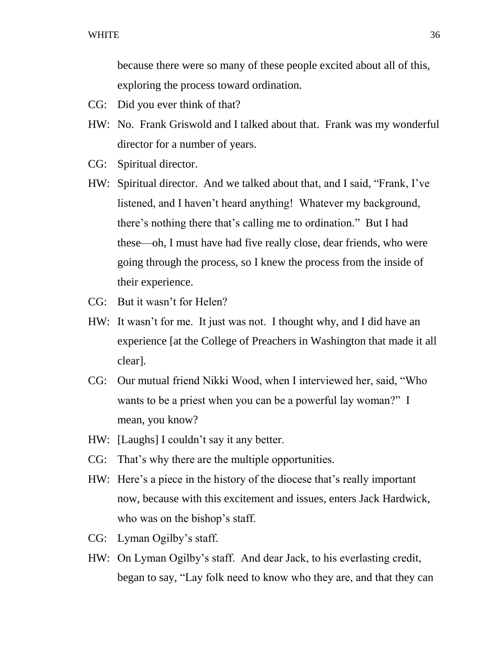because there were so many of these people excited about all of this, exploring the process toward ordination.

- CG: Did you ever think of that?
- HW: No. Frank Griswold and I talked about that. Frank was my wonderful director for a number of years.
- CG: Spiritual director.
- HW: Spiritual director. And we talked about that, and I said, "Frank, I've listened, and I haven't heard anything! Whatever my background, there's nothing there that's calling me to ordination." But I had these—oh, I must have had five really close, dear friends, who were going through the process, so I knew the process from the inside of their experience.
- CG: But it wasn't for Helen?
- HW: It wasn't for me. It just was not. I thought why, and I did have an experience [at the College of Preachers in Washington that made it all clear].
- CG: Our mutual friend Nikki Wood, when I interviewed her, said, "Who wants to be a priest when you can be a powerful lay woman?" I mean, you know?
- HW: [Laughs] I couldn't say it any better.
- CG: That's why there are the multiple opportunities.
- HW: Here's a piece in the history of the diocese that's really important now, because with this excitement and issues, enters Jack Hardwick, who was on the bishop's staff.
- CG: Lyman Ogilby's staff.
- HW: On Lyman Ogilby's staff. And dear Jack, to his everlasting credit, began to say, "Lay folk need to know who they are, and that they can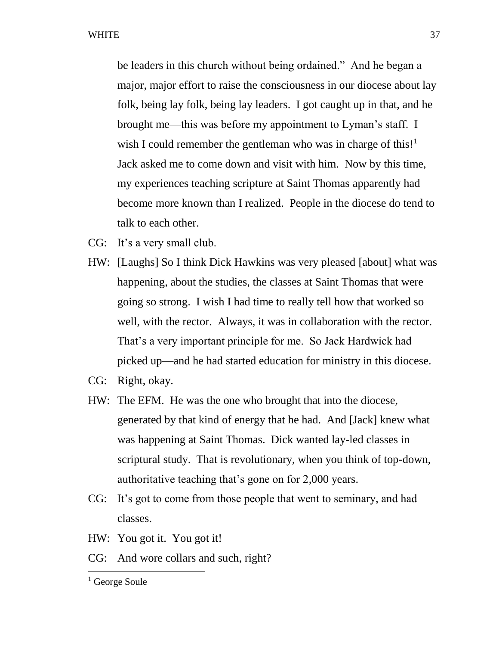be leaders in this church without being ordained." And he began a major, major effort to raise the consciousness in our diocese about lay folk, being lay folk, being lay leaders. I got caught up in that, and he brought me—this was before my appointment to Lyman's staff. I wish I could remember the gentleman who was in charge of this! $1$ Jack asked me to come down and visit with him. Now by this time, my experiences teaching scripture at Saint Thomas apparently had become more known than I realized. People in the diocese do tend to talk to each other.

- CG: It's a very small club.
- HW: [Laughs] So I think Dick Hawkins was very pleased [about] what was happening, about the studies, the classes at Saint Thomas that were going so strong. I wish I had time to really tell how that worked so well, with the rector. Always, it was in collaboration with the rector. That's a very important principle for me. So Jack Hardwick had picked up—and he had started education for ministry in this diocese.
- CG: Right, okay.
- HW: The EFM. He was the one who brought that into the diocese, generated by that kind of energy that he had. And [Jack] knew what was happening at Saint Thomas. Dick wanted lay-led classes in scriptural study. That is revolutionary, when you think of top-down, authoritative teaching that's gone on for 2,000 years.
- CG: It's got to come from those people that went to seminary, and had classes.
- HW: You got it. You got it!
- CG: And wore collars and such, right?

 $\overline{a}$ 

<sup>&</sup>lt;sup>1</sup> George Soule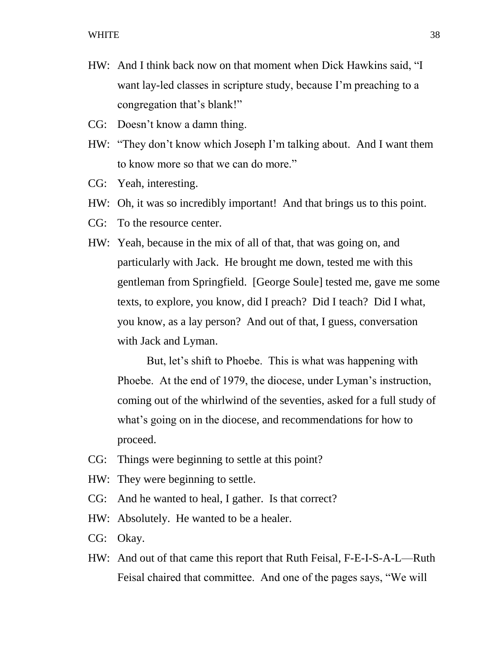- HW: And I think back now on that moment when Dick Hawkins said, "I want lay-led classes in scripture study, because I'm preaching to a congregation that's blank!"
- CG: Doesn't know a damn thing.
- HW: "They don't know which Joseph I'm talking about. And I want them to know more so that we can do more."
- CG: Yeah, interesting.
- HW: Oh, it was so incredibly important! And that brings us to this point.
- CG: To the resource center.
- HW: Yeah, because in the mix of all of that, that was going on, and particularly with Jack. He brought me down, tested me with this gentleman from Springfield. [George Soule] tested me, gave me some texts, to explore, you know, did I preach? Did I teach? Did I what, you know, as a lay person? And out of that, I guess, conversation with Jack and Lyman.

But, let's shift to Phoebe. This is what was happening with Phoebe. At the end of 1979, the diocese, under Lyman's instruction, coming out of the whirlwind of the seventies, asked for a full study of what's going on in the diocese, and recommendations for how to proceed.

- CG: Things were beginning to settle at this point?
- HW: They were beginning to settle.
- CG: And he wanted to heal, I gather. Is that correct?
- HW: Absolutely. He wanted to be a healer.
- CG: Okay.
- HW: And out of that came this report that Ruth Feisal, F-E-I-S-A-L—Ruth Feisal chaired that committee. And one of the pages says, "We will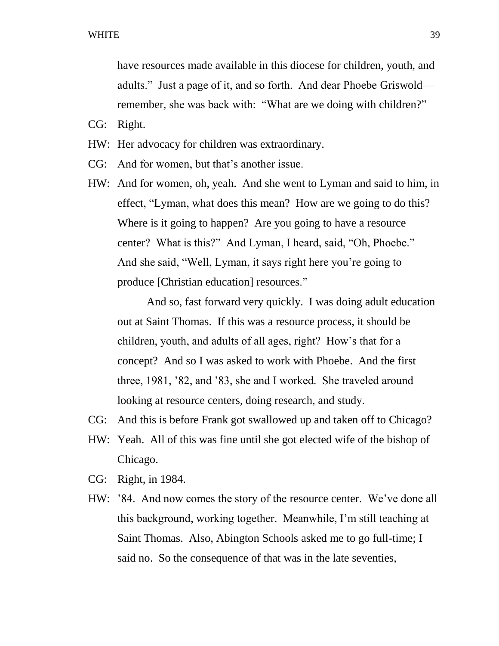have resources made available in this diocese for children, youth, and adults." Just a page of it, and so forth. And dear Phoebe Griswold remember, she was back with: "What are we doing with children?"

- CG: Right.
- HW: Her advocacy for children was extraordinary.
- CG: And for women, but that's another issue.
- HW: And for women, oh, yeah. And she went to Lyman and said to him, in effect, "Lyman, what does this mean? How are we going to do this? Where is it going to happen? Are you going to have a resource center? What is this?" And Lyman, I heard, said, "Oh, Phoebe." And she said, "Well, Lyman, it says right here you're going to produce [Christian education] resources."

And so, fast forward very quickly. I was doing adult education out at Saint Thomas. If this was a resource process, it should be children, youth, and adults of all ages, right? How's that for a concept? And so I was asked to work with Phoebe. And the first three, 1981, '82, and '83, she and I worked. She traveled around looking at resource centers, doing research, and study.

- CG: And this is before Frank got swallowed up and taken off to Chicago?
- HW: Yeah. All of this was fine until she got elected wife of the bishop of Chicago.
- CG: Right, in 1984.
- HW: '84. And now comes the story of the resource center. We've done all this background, working together. Meanwhile, I'm still teaching at Saint Thomas. Also, Abington Schools asked me to go full-time; I said no. So the consequence of that was in the late seventies,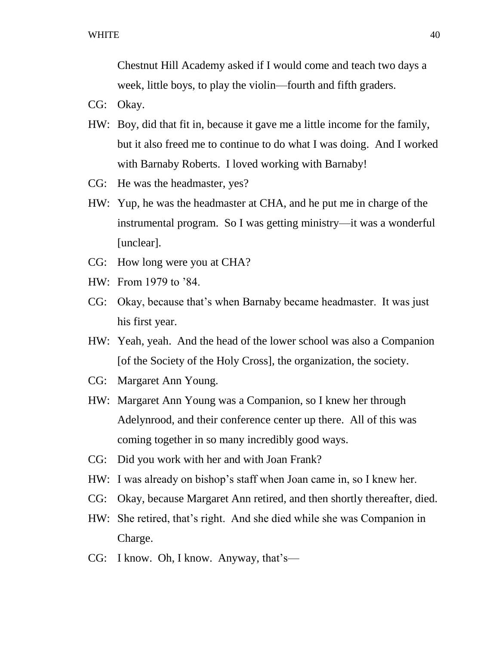Chestnut Hill Academy asked if I would come and teach two days a week, little boys, to play the violin—fourth and fifth graders.

- CG: Okay.
- HW: Boy, did that fit in, because it gave me a little income for the family, but it also freed me to continue to do what I was doing. And I worked with Barnaby Roberts. I loved working with Barnaby!
- CG: He was the headmaster, yes?
- HW: Yup, he was the headmaster at CHA, and he put me in charge of the instrumental program. So I was getting ministry—it was a wonderful [unclear].
- CG: How long were you at CHA?
- HW: From 1979 to '84.
- CG: Okay, because that's when Barnaby became headmaster. It was just his first year.
- HW: Yeah, yeah. And the head of the lower school was also a Companion [of the Society of the Holy Cross], the organization, the society.
- CG: Margaret Ann Young.
- HW: Margaret Ann Young was a Companion, so I knew her through Adelynrood, and their conference center up there. All of this was coming together in so many incredibly good ways.
- CG: Did you work with her and with Joan Frank?
- HW: I was already on bishop's staff when Joan came in, so I knew her.
- CG: Okay, because Margaret Ann retired, and then shortly thereafter, died.
- HW: She retired, that's right. And she died while she was Companion in Charge.
- CG: I know. Oh, I know. Anyway, that's—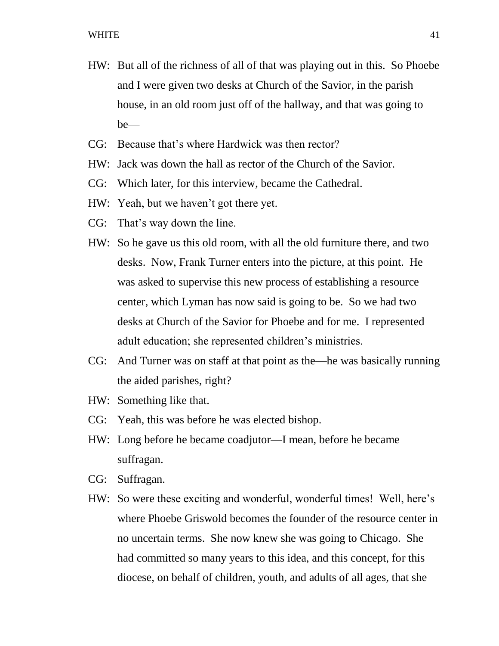- HW: But all of the richness of all of that was playing out in this. So Phoebe and I were given two desks at Church of the Savior, in the parish house, in an old room just off of the hallway, and that was going to be—
- CG: Because that's where Hardwick was then rector?
- HW: Jack was down the hall as rector of the Church of the Savior.
- CG: Which later, for this interview, became the Cathedral.
- HW: Yeah, but we haven't got there yet.
- CG: That's way down the line.
- HW: So he gave us this old room, with all the old furniture there, and two desks. Now, Frank Turner enters into the picture, at this point. He was asked to supervise this new process of establishing a resource center, which Lyman has now said is going to be. So we had two desks at Church of the Savior for Phoebe and for me. I represented adult education; she represented children's ministries.
- CG: And Turner was on staff at that point as the—he was basically running the aided parishes, right?
- HW: Something like that.
- CG: Yeah, this was before he was elected bishop.
- HW: Long before he became coadjutor—I mean, before he became suffragan.
- CG: Suffragan.
- HW: So were these exciting and wonderful, wonderful times! Well, here's where Phoebe Griswold becomes the founder of the resource center in no uncertain terms. She now knew she was going to Chicago. She had committed so many years to this idea, and this concept, for this diocese, on behalf of children, youth, and adults of all ages, that she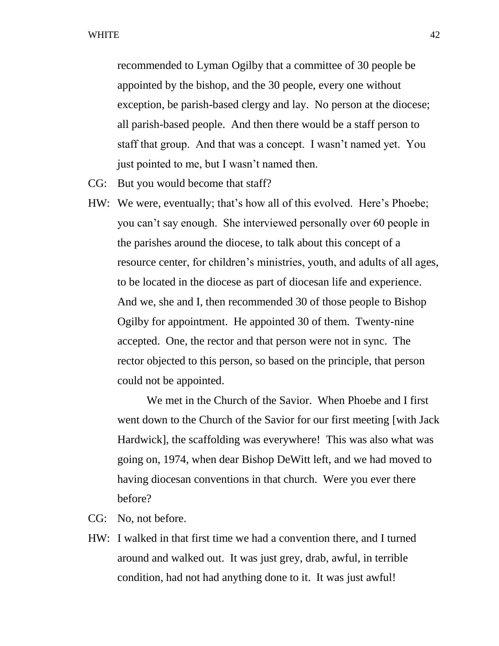recommended to Lyman Ogilby that a committee of 30 people be appointed by the bishop, and the 30 people, every one without exception, be parish-based clergy and lay. No person at the diocese; all parish-based people. And then there would be a staff person to staff that group. And that was a concept. I wasn't named yet. You just pointed to me, but I wasn't named then.

- CG: But you would become that staff?
- HW: We were, eventually; that's how all of this evolved. Here's Phoebe; you can't say enough. She interviewed personally over 60 people in the parishes around the diocese, to talk about this concept of a resource center, for children's ministries, youth, and adults of all ages, to be located in the diocese as part of diocesan life and experience. And we, she and I, then recommended 30 of those people to Bishop Ogilby for appointment. He appointed 30 of them. Twenty-nine accepted. One, the rector and that person were not in sync. The rector objected to this person, so based on the principle, that person could not be appointed.

We met in the Church of the Savior. When Phoebe and I first went down to the Church of the Savior for our first meeting [with Jack Hardwick], the scaffolding was everywhere! This was also what was going on, 1974, when dear Bishop DeWitt left, and we had moved to having diocesan conventions in that church. Were you ever there before?

- CG: No, not before.
- HW: I walked in that first time we had a convention there, and I turned around and walked out. It was just grey, drab, awful, in terrible condition, had not had anything done to it. It was just awful!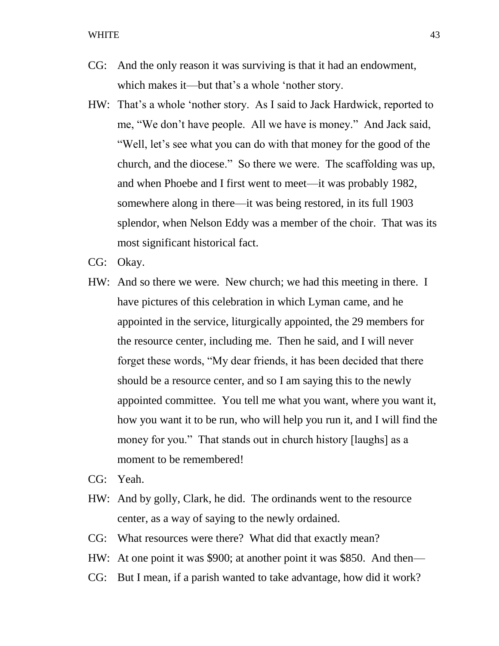- CG: And the only reason it was surviving is that it had an endowment, which makes it—but that's a whole 'nother story.
- HW: That's a whole 'nother story. As I said to Jack Hardwick, reported to me, "We don't have people. All we have is money." And Jack said, "Well, let's see what you can do with that money for the good of the church, and the diocese." So there we were. The scaffolding was up, and when Phoebe and I first went to meet—it was probably 1982, somewhere along in there—it was being restored, in its full 1903 splendor, when Nelson Eddy was a member of the choir. That was its most significant historical fact.
- CG: Okay.
- HW: And so there we were. New church; we had this meeting in there. I have pictures of this celebration in which Lyman came, and he appointed in the service, liturgically appointed, the 29 members for the resource center, including me. Then he said, and I will never forget these words, "My dear friends, it has been decided that there should be a resource center, and so I am saying this to the newly appointed committee. You tell me what you want, where you want it, how you want it to be run, who will help you run it, and I will find the money for you." That stands out in church history [laughs] as a moment to be remembered!
- CG: Yeah.
- HW: And by golly, Clark, he did. The ordinands went to the resource center, as a way of saying to the newly ordained.
- CG: What resources were there? What did that exactly mean?
- HW: At one point it was \$900; at another point it was \$850. And then—
- CG: But I mean, if a parish wanted to take advantage, how did it work?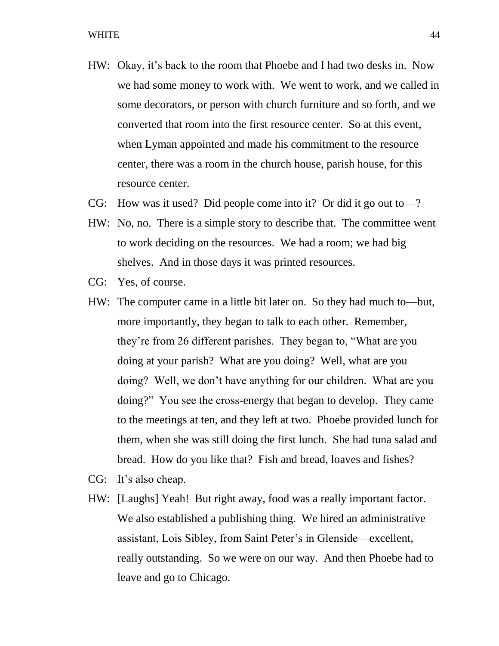- HW: Okay, it's back to the room that Phoebe and I had two desks in. Now we had some money to work with. We went to work, and we called in some decorators, or person with church furniture and so forth, and we converted that room into the first resource center. So at this event, when Lyman appointed and made his commitment to the resource center, there was a room in the church house, parish house, for this resource center.
- CG: How was it used? Did people come into it? Or did it go out to—?
- HW: No, no. There is a simple story to describe that. The committee went to work deciding on the resources. We had a room; we had big shelves. And in those days it was printed resources.
- CG: Yes, of course.
- HW: The computer came in a little bit later on. So they had much to—but, more importantly, they began to talk to each other. Remember, they're from 26 different parishes. They began to, "What are you doing at your parish? What are you doing? Well, what are you doing? Well, we don't have anything for our children. What are you doing?" You see the cross-energy that began to develop. They came to the meetings at ten, and they left at two. Phoebe provided lunch for them, when she was still doing the first lunch. She had tuna salad and bread. How do you like that? Fish and bread, loaves and fishes?
- CG: It's also cheap.
- HW: [Laughs] Yeah! But right away, food was a really important factor. We also established a publishing thing. We hired an administrative assistant, Lois Sibley, from Saint Peter's in Glenside—excellent, really outstanding. So we were on our way. And then Phoebe had to leave and go to Chicago.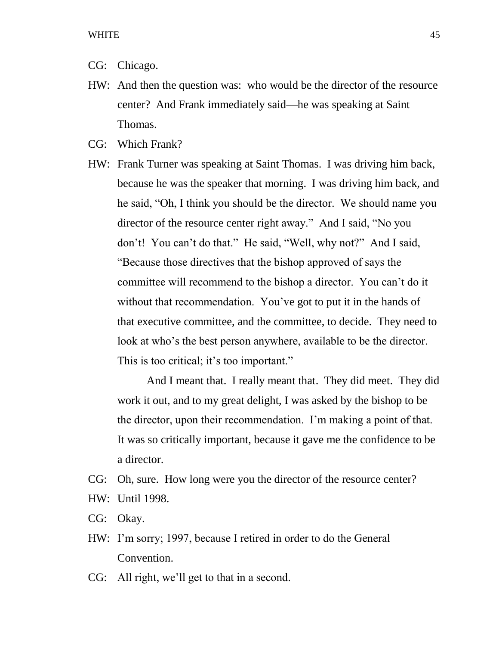- CG: Chicago.
- HW: And then the question was: who would be the director of the resource center? And Frank immediately said—he was speaking at Saint Thomas.
- CG: Which Frank?
- HW: Frank Turner was speaking at Saint Thomas. I was driving him back, because he was the speaker that morning. I was driving him back, and he said, "Oh, I think you should be the director. We should name you director of the resource center right away." And I said, "No you don't! You can't do that." He said, "Well, why not?" And I said, "Because those directives that the bishop approved of says the committee will recommend to the bishop a director. You can't do it without that recommendation. You've got to put it in the hands of that executive committee, and the committee, to decide. They need to look at who's the best person anywhere, available to be the director. This is too critical; it's too important."

And I meant that. I really meant that. They did meet. They did work it out, and to my great delight, I was asked by the bishop to be the director, upon their recommendation. I'm making a point of that. It was so critically important, because it gave me the confidence to be a director.

- CG: Oh, sure. How long were you the director of the resource center? HW: Until 1998.
- 
- CG: Okay.
- HW: I'm sorry; 1997, because I retired in order to do the General Convention.
- CG: All right, we'll get to that in a second.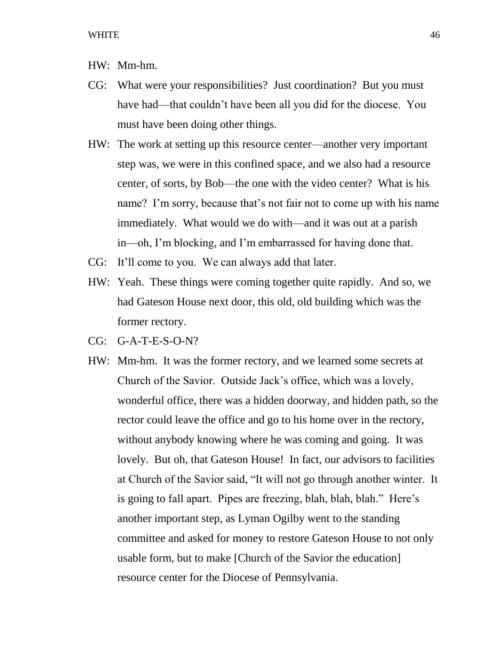- HW: Mm-hm.
- CG: What were your responsibilities? Just coordination? But you must have had—that couldn't have been all you did for the diocese. You must have been doing other things.
- HW: The work at setting up this resource center—another very important step was, we were in this confined space, and we also had a resource center, of sorts, by Bob—the one with the video center? What is his name? I'm sorry, because that's not fair not to come up with his name immediately. What would we do with—and it was out at a parish in—oh, I'm blocking, and I'm embarrassed for having done that.
- CG: It'll come to you. We can always add that later.
- HW: Yeah. These things were coming together quite rapidly. And so, we had Gateson House next door, this old, old building which was the former rectory.
- CG: G-A-T-E-S-O-N?
- HW: Mm-hm. It was the former rectory, and we learned some secrets at Church of the Savior. Outside Jack's office, which was a lovely, wonderful office, there was a hidden doorway, and hidden path, so the rector could leave the office and go to his home over in the rectory, without anybody knowing where he was coming and going. It was lovely. But oh, that Gateson House! In fact, our advisors to facilities at Church of the Savior said, "It will not go through another winter. It is going to fall apart. Pipes are freezing, blah, blah, blah." Here's another important step, as Lyman Ogilby went to the standing committee and asked for money to restore Gateson House to not only usable form, but to make [Church of the Savior the education] resource center for the Diocese of Pennsylvania.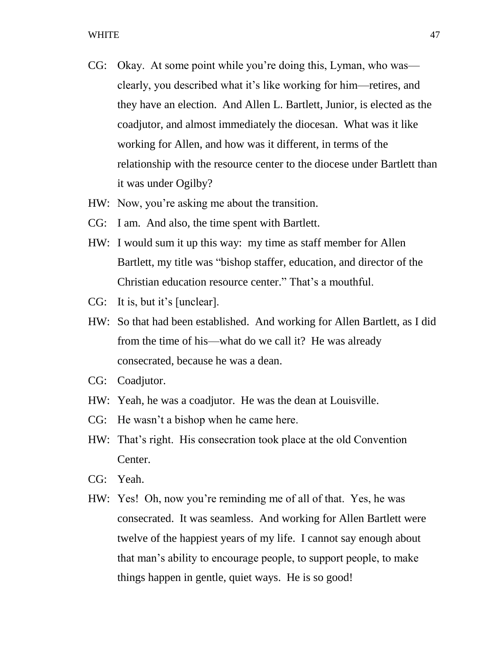- CG: Okay. At some point while you're doing this, Lyman, who was clearly, you described what it's like working for him—retires, and they have an election. And Allen L. Bartlett, Junior, is elected as the coadjutor, and almost immediately the diocesan. What was it like working for Allen, and how was it different, in terms of the relationship with the resource center to the diocese under Bartlett than it was under Ogilby?
- HW: Now, you're asking me about the transition.
- CG: I am. And also, the time spent with Bartlett.
- HW: I would sum it up this way: my time as staff member for Allen Bartlett, my title was "bishop staffer, education, and director of the Christian education resource center." That's a mouthful.
- CG: It is, but it's [unclear].
- HW: So that had been established. And working for Allen Bartlett, as I did from the time of his—what do we call it? He was already consecrated, because he was a dean.
- CG: Coadjutor.
- HW: Yeah, he was a coadjutor. He was the dean at Louisville.
- CG: He wasn't a bishop when he came here.
- HW: That's right. His consecration took place at the old Convention Center.
- CG: Yeah.
- HW: Yes! Oh, now you're reminding me of all of that. Yes, he was consecrated. It was seamless. And working for Allen Bartlett were twelve of the happiest years of my life. I cannot say enough about that man's ability to encourage people, to support people, to make things happen in gentle, quiet ways. He is so good!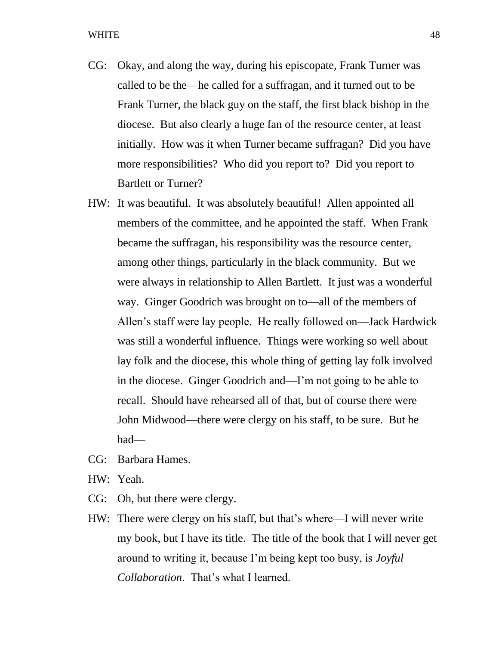- CG: Okay, and along the way, during his episcopate, Frank Turner was called to be the—he called for a suffragan, and it turned out to be Frank Turner, the black guy on the staff, the first black bishop in the diocese. But also clearly a huge fan of the resource center, at least initially. How was it when Turner became suffragan? Did you have more responsibilities? Who did you report to? Did you report to Bartlett or Turner?
- HW: It was beautiful. It was absolutely beautiful! Allen appointed all members of the committee, and he appointed the staff. When Frank became the suffragan, his responsibility was the resource center, among other things, particularly in the black community. But we were always in relationship to Allen Bartlett. It just was a wonderful way. Ginger Goodrich was brought on to—all of the members of Allen's staff were lay people. He really followed on—Jack Hardwick was still a wonderful influence. Things were working so well about lay folk and the diocese, this whole thing of getting lay folk involved in the diocese. Ginger Goodrich and—I'm not going to be able to recall. Should have rehearsed all of that, but of course there were John Midwood—there were clergy on his staff, to be sure. But he had—
- CG: Barbara Hames.
- HW: Yeah.
- CG: Oh, but there were clergy.
- HW: There were clergy on his staff, but that's where—I will never write my book, but I have its title. The title of the book that I will never get around to writing it, because I'm being kept too busy, is *Joyful Collaboration*. That's what I learned.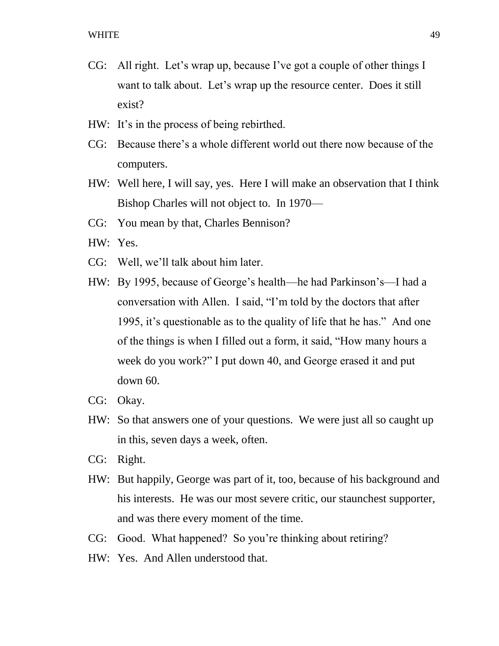- CG: All right. Let's wrap up, because I've got a couple of other things I want to talk about. Let's wrap up the resource center. Does it still exist?
- HW: It's in the process of being rebirthed.
- CG: Because there's a whole different world out there now because of the computers.
- HW: Well here, I will say, yes. Here I will make an observation that I think Bishop Charles will not object to. In 1970—
- CG: You mean by that, Charles Bennison?
- HW: Yes.
- CG: Well, we'll talk about him later.
- HW: By 1995, because of George's health—he had Parkinson's—I had a conversation with Allen. I said, "I'm told by the doctors that after 1995, it's questionable as to the quality of life that he has." And one of the things is when I filled out a form, it said, "How many hours a week do you work?" I put down 40, and George erased it and put down 60.
- CG: Okay.
- HW: So that answers one of your questions. We were just all so caught up in this, seven days a week, often.
- CG: Right.
- HW: But happily, George was part of it, too, because of his background and his interests. He was our most severe critic, our staunchest supporter, and was there every moment of the time.
- CG: Good. What happened? So you're thinking about retiring?
- HW: Yes. And Allen understood that.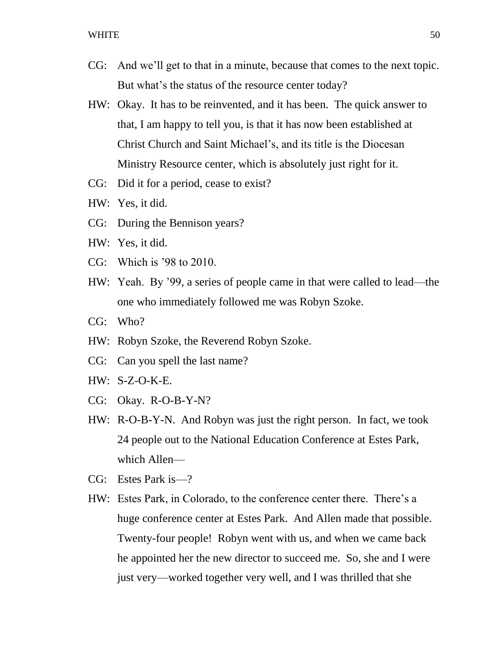- CG: And we'll get to that in a minute, because that comes to the next topic. But what's the status of the resource center today?
- HW: Okay. It has to be reinvented, and it has been. The quick answer to that, I am happy to tell you, is that it has now been established at Christ Church and Saint Michael's, and its title is the Diocesan Ministry Resource center, which is absolutely just right for it.
- CG: Did it for a period, cease to exist?
- HW: Yes, it did.
- CG: During the Bennison years?
- HW: Yes, it did.
- CG: Which is '98 to 2010.
- HW: Yeah. By '99, a series of people came in that were called to lead—the one who immediately followed me was Robyn Szoke.
- CG: Who?
- HW: Robyn Szoke, the Reverend Robyn Szoke.
- CG: Can you spell the last name?
- HW: S-Z-O-K-E.
- CG: Okay. R-O-B-Y-N?
- HW: R-O-B-Y-N. And Robyn was just the right person. In fact, we took 24 people out to the National Education Conference at Estes Park, which Allen—
- CG: Estes Park is—?
- HW: Estes Park, in Colorado, to the conference center there. There's a huge conference center at Estes Park. And Allen made that possible. Twenty-four people! Robyn went with us, and when we came back he appointed her the new director to succeed me. So, she and I were just very—worked together very well, and I was thrilled that she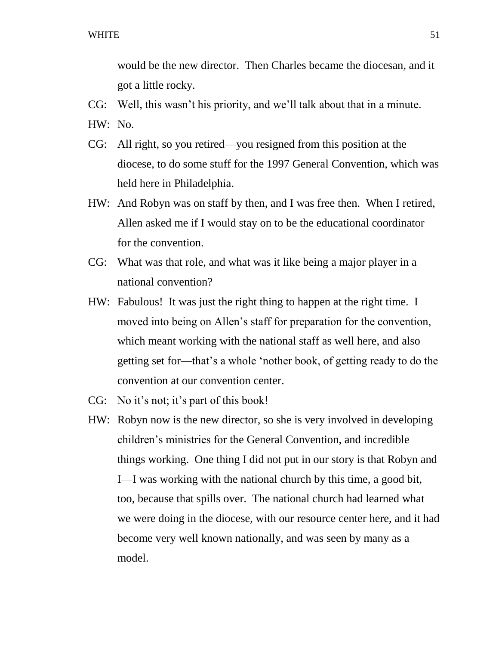would be the new director. Then Charles became the diocesan, and it got a little rocky.

- CG: Well, this wasn't his priority, and we'll talk about that in a minute.
- HW: No.
- CG: All right, so you retired—you resigned from this position at the diocese, to do some stuff for the 1997 General Convention, which was held here in Philadelphia.
- HW: And Robyn was on staff by then, and I was free then. When I retired, Allen asked me if I would stay on to be the educational coordinator for the convention.
- CG: What was that role, and what was it like being a major player in a national convention?
- HW: Fabulous! It was just the right thing to happen at the right time. I moved into being on Allen's staff for preparation for the convention, which meant working with the national staff as well here, and also getting set for—that's a whole 'nother book, of getting ready to do the convention at our convention center.
- CG: No it's not; it's part of this book!
- HW: Robyn now is the new director, so she is very involved in developing children's ministries for the General Convention, and incredible things working. One thing I did not put in our story is that Robyn and I—I was working with the national church by this time, a good bit, too, because that spills over. The national church had learned what we were doing in the diocese, with our resource center here, and it had become very well known nationally, and was seen by many as a model.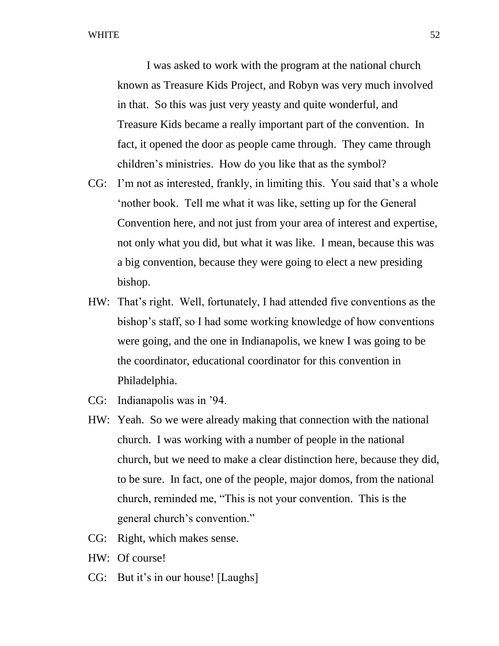I was asked to work with the program at the national church known as Treasure Kids Project, and Robyn was very much involved in that. So this was just very yeasty and quite wonderful, and Treasure Kids became a really important part of the convention. In fact, it opened the door as people came through. They came through children's ministries. How do you like that as the symbol?

- CG: I'm not as interested, frankly, in limiting this. You said that's a whole 'nother book. Tell me what it was like, setting up for the General Convention here, and not just from your area of interest and expertise, not only what you did, but what it was like. I mean, because this was a big convention, because they were going to elect a new presiding bishop.
- HW: That's right. Well, fortunately, I had attended five conventions as the bishop's staff, so I had some working knowledge of how conventions were going, and the one in Indianapolis, we knew I was going to be the coordinator, educational coordinator for this convention in Philadelphia.
- CG: Indianapolis was in '94.
- HW: Yeah. So we were already making that connection with the national church. I was working with a number of people in the national church, but we need to make a clear distinction here, because they did, to be sure. In fact, one of the people, major domos, from the national church, reminded me, "This is not your convention. This is the general church's convention."
- CG: Right, which makes sense.
- HW: Of course!
- CG: But it's in our house! [Laughs]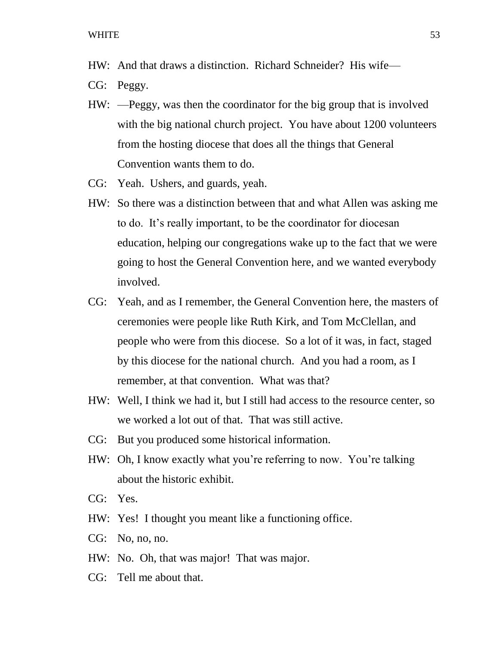HW: And that draws a distinction. Richard Schneider? His wife—

CG: Peggy.

- HW: —Peggy, was then the coordinator for the big group that is involved with the big national church project. You have about 1200 volunteers from the hosting diocese that does all the things that General Convention wants them to do.
- CG: Yeah. Ushers, and guards, yeah.
- HW: So there was a distinction between that and what Allen was asking me to do. It's really important, to be the coordinator for diocesan education, helping our congregations wake up to the fact that we were going to host the General Convention here, and we wanted everybody involved.
- CG: Yeah, and as I remember, the General Convention here, the masters of ceremonies were people like Ruth Kirk, and Tom McClellan, and people who were from this diocese. So a lot of it was, in fact, staged by this diocese for the national church. And you had a room, as I remember, at that convention. What was that?
- HW: Well, I think we had it, but I still had access to the resource center, so we worked a lot out of that. That was still active.
- CG: But you produced some historical information.
- HW: Oh, I know exactly what you're referring to now. You're talking about the historic exhibit.
- CG: Yes.
- HW: Yes! I thought you meant like a functioning office.
- CG: No, no, no.
- HW: No. Oh, that was major! That was major.
- CG: Tell me about that.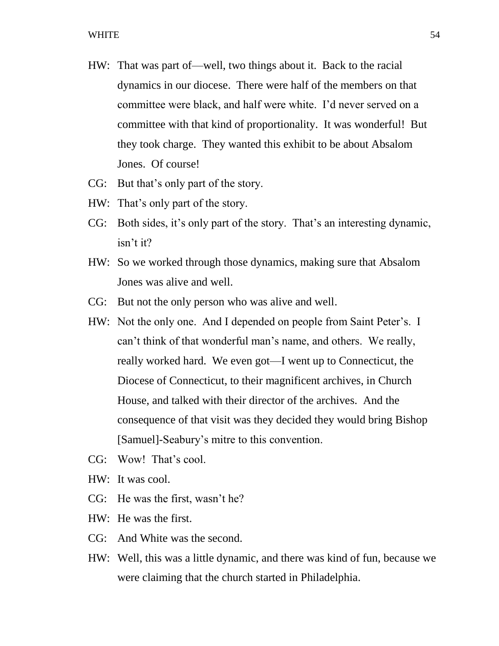- HW: That was part of—well, two things about it. Back to the racial dynamics in our diocese. There were half of the members on that committee were black, and half were white. I'd never served on a committee with that kind of proportionality. It was wonderful! But they took charge. They wanted this exhibit to be about Absalom Jones. Of course!
- CG: But that's only part of the story.
- HW: That's only part of the story.
- CG: Both sides, it's only part of the story. That's an interesting dynamic, isn't it?
- HW: So we worked through those dynamics, making sure that Absalom Jones was alive and well.
- CG: But not the only person who was alive and well.
- HW: Not the only one. And I depended on people from Saint Peter's. I can't think of that wonderful man's name, and others. We really, really worked hard. We even got—I went up to Connecticut, the Diocese of Connecticut, to their magnificent archives, in Church House, and talked with their director of the archives. And the consequence of that visit was they decided they would bring Bishop [Samuel]-Seabury's mitre to this convention.
- CG: Wow! That's cool.
- HW: It was cool.
- CG: He was the first, wasn't he?
- HW: He was the first.
- CG: And White was the second.
- HW: Well, this was a little dynamic, and there was kind of fun, because we were claiming that the church started in Philadelphia.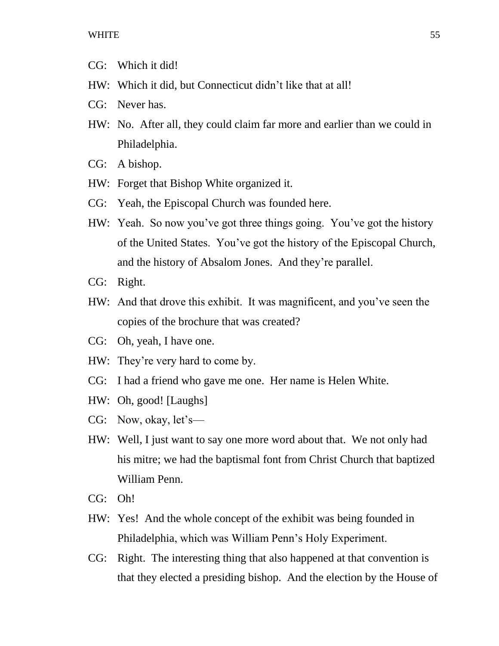- CG: Which it did!
- HW: Which it did, but Connecticut didn't like that at all!
- CG: Never has.
- HW: No. After all, they could claim far more and earlier than we could in Philadelphia.
- CG: A bishop.
- HW: Forget that Bishop White organized it.
- CG: Yeah, the Episcopal Church was founded here.
- HW: Yeah. So now you've got three things going. You've got the history of the United States. You've got the history of the Episcopal Church, and the history of Absalom Jones. And they're parallel.
- CG: Right.
- HW: And that drove this exhibit. It was magnificent, and you've seen the copies of the brochure that was created?
- CG: Oh, yeah, I have one.
- HW: They're very hard to come by.
- CG: I had a friend who gave me one. Her name is Helen White.
- HW: Oh, good! [Laughs]
- CG: Now, okay, let's—
- HW: Well, I just want to say one more word about that. We not only had his mitre; we had the baptismal font from Christ Church that baptized William Penn.
- CG: Oh!
- HW: Yes! And the whole concept of the exhibit was being founded in Philadelphia, which was William Penn's Holy Experiment.
- CG: Right. The interesting thing that also happened at that convention is that they elected a presiding bishop. And the election by the House of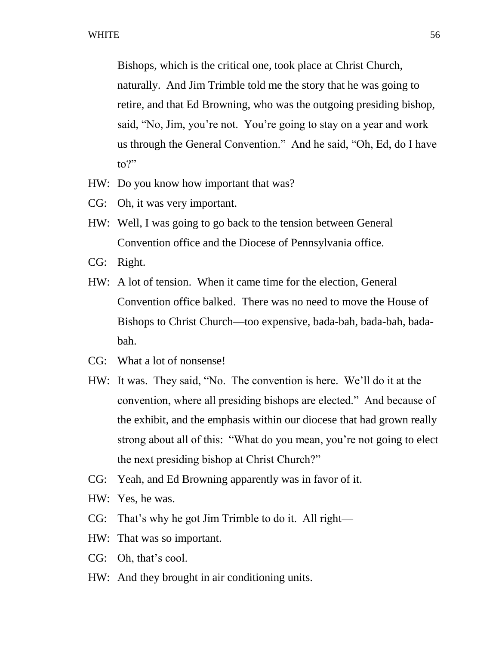Bishops, which is the critical one, took place at Christ Church, naturally. And Jim Trimble told me the story that he was going to retire, and that Ed Browning, who was the outgoing presiding bishop, said, "No, Jim, you're not. You're going to stay on a year and work us through the General Convention." And he said, "Oh, Ed, do I have to?"

- HW: Do you know how important that was?
- CG: Oh, it was very important.
- HW: Well, I was going to go back to the tension between General Convention office and the Diocese of Pennsylvania office.
- CG: Right.
- HW: A lot of tension. When it came time for the election, General Convention office balked. There was no need to move the House of Bishops to Christ Church—too expensive, bada-bah, bada-bah, badabah.
- CG: What a lot of nonsense!
- HW: It was. They said, "No. The convention is here. We'll do it at the convention, where all presiding bishops are elected." And because of the exhibit, and the emphasis within our diocese that had grown really strong about all of this: "What do you mean, you're not going to elect the next presiding bishop at Christ Church?"
- CG: Yeah, and Ed Browning apparently was in favor of it.
- HW: Yes, he was.
- CG: That's why he got Jim Trimble to do it. All right—
- HW: That was so important.
- CG: Oh, that's cool.
- HW: And they brought in air conditioning units.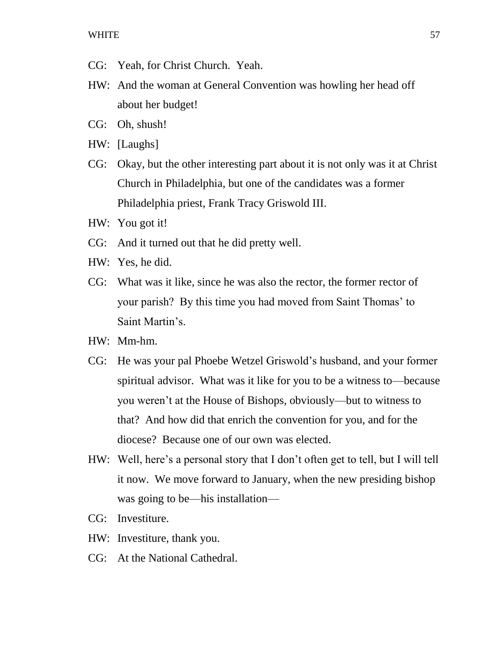- CG: Yeah, for Christ Church. Yeah.
- HW: And the woman at General Convention was howling her head off about her budget!
- CG: Oh, shush!
- HW: [Laughs]
- CG: Okay, but the other interesting part about it is not only was it at Christ Church in Philadelphia, but one of the candidates was a former Philadelphia priest, Frank Tracy Griswold III.
- HW: You got it!
- CG: And it turned out that he did pretty well.
- HW: Yes, he did.
- CG: What was it like, since he was also the rector, the former rector of your parish? By this time you had moved from Saint Thomas' to Saint Martin's.
- HW: Mm-hm.
- CG: He was your pal Phoebe Wetzel Griswold's husband, and your former spiritual advisor. What was it like for you to be a witness to—because you weren't at the House of Bishops, obviously—but to witness to that? And how did that enrich the convention for you, and for the diocese? Because one of our own was elected.
- HW: Well, here's a personal story that I don't often get to tell, but I will tell it now. We move forward to January, when the new presiding bishop was going to be—his installation—
- CG: Investiture.
- HW: Investiture, thank you.
- CG: At the National Cathedral.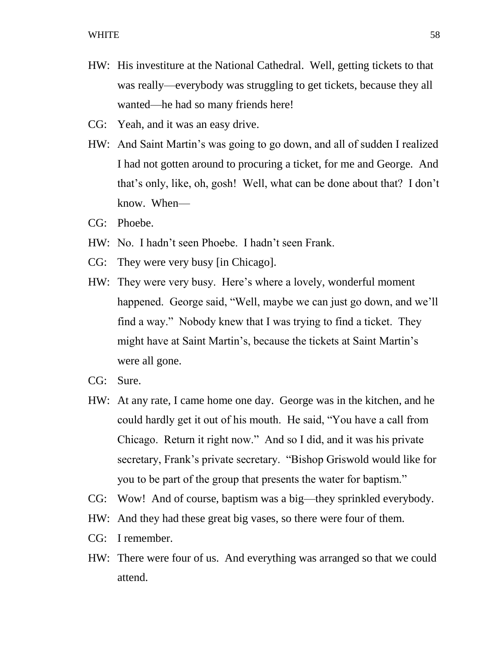- HW: His investiture at the National Cathedral. Well, getting tickets to that was really—everybody was struggling to get tickets, because they all wanted—he had so many friends here!
- CG: Yeah, and it was an easy drive.
- HW: And Saint Martin's was going to go down, and all of sudden I realized I had not gotten around to procuring a ticket, for me and George. And that's only, like, oh, gosh! Well, what can be done about that? I don't know. When—
- CG: Phoebe.
- HW: No. I hadn't seen Phoebe. I hadn't seen Frank.
- CG: They were very busy [in Chicago].
- HW: They were very busy. Here's where a lovely, wonderful moment happened. George said, "Well, maybe we can just go down, and we'll find a way." Nobody knew that I was trying to find a ticket. They might have at Saint Martin's, because the tickets at Saint Martin's were all gone.
- CG: Sure.
- HW: At any rate, I came home one day. George was in the kitchen, and he could hardly get it out of his mouth. He said, "You have a call from Chicago. Return it right now." And so I did, and it was his private secretary, Frank's private secretary. "Bishop Griswold would like for you to be part of the group that presents the water for baptism."
- CG: Wow! And of course, baptism was a big—they sprinkled everybody.
- HW: And they had these great big vases, so there were four of them.
- CG: I remember.
- HW: There were four of us. And everything was arranged so that we could attend.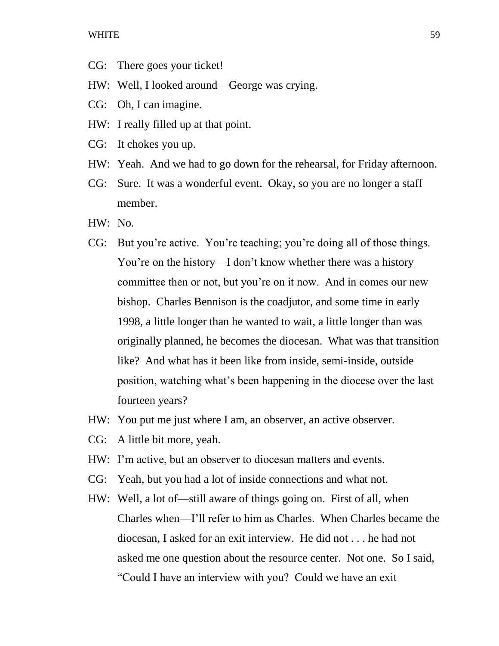- CG: There goes your ticket!
- HW: Well, I looked around—George was crying.
- CG: Oh, I can imagine.
- HW: I really filled up at that point.
- CG: It chokes you up.
- HW: Yeah. And we had to go down for the rehearsal, for Friday afternoon.
- CG: Sure. It was a wonderful event. Okay, so you are no longer a staff member.
- HW: No.
- CG: But you're active. You're teaching; you're doing all of those things. You're on the history—I don't know whether there was a history committee then or not, but you're on it now. And in comes our new bishop. Charles Bennison is the coadjutor, and some time in early 1998, a little longer than he wanted to wait, a little longer than was originally planned, he becomes the diocesan. What was that transition like? And what has it been like from inside, semi-inside, outside position, watching what's been happening in the diocese over the last fourteen years?
- HW: You put me just where I am, an observer, an active observer.
- CG: A little bit more, yeah.
- HW: I'm active, but an observer to diocesan matters and events.
- CG: Yeah, but you had a lot of inside connections and what not.
- HW: Well, a lot of—still aware of things going on. First of all, when Charles when—I'll refer to him as Charles. When Charles became the diocesan, I asked for an exit interview. He did not . . . he had not asked me one question about the resource center. Not one. So I said, "Could I have an interview with you? Could we have an exit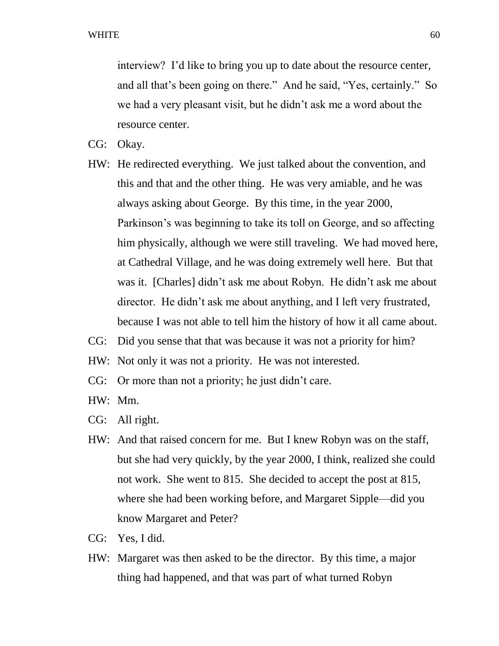interview? I'd like to bring you up to date about the resource center, and all that's been going on there." And he said, "Yes, certainly." So we had a very pleasant visit, but he didn't ask me a word about the resource center.

- CG: Okay.
- HW: He redirected everything. We just talked about the convention, and this and that and the other thing. He was very amiable, and he was always asking about George. By this time, in the year 2000, Parkinson's was beginning to take its toll on George, and so affecting him physically, although we were still traveling. We had moved here, at Cathedral Village, and he was doing extremely well here. But that was it. [Charles] didn't ask me about Robyn. He didn't ask me about director. He didn't ask me about anything, and I left very frustrated, because I was not able to tell him the history of how it all came about.
- CG: Did you sense that that was because it was not a priority for him?
- HW: Not only it was not a priority. He was not interested.
- CG: Or more than not a priority; he just didn't care.
- HW: Mm.
- CG: All right.
- HW: And that raised concern for me. But I knew Robyn was on the staff, but she had very quickly, by the year 2000, I think, realized she could not work. She went to 815. She decided to accept the post at 815, where she had been working before, and Margaret Sipple—did you know Margaret and Peter?
- CG: Yes, I did.
- HW: Margaret was then asked to be the director. By this time, a major thing had happened, and that was part of what turned Robyn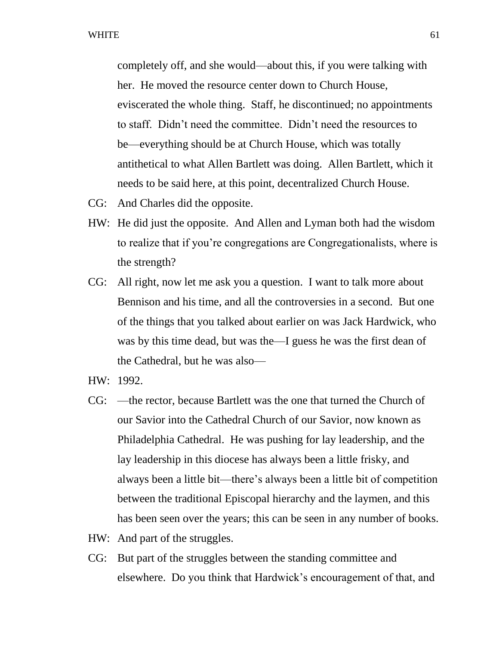completely off, and she would—about this, if you were talking with her. He moved the resource center down to Church House, eviscerated the whole thing. Staff, he discontinued; no appointments to staff. Didn't need the committee. Didn't need the resources to be—everything should be at Church House, which was totally antithetical to what Allen Bartlett was doing. Allen Bartlett, which it needs to be said here, at this point, decentralized Church House.

- CG: And Charles did the opposite.
- HW: He did just the opposite. And Allen and Lyman both had the wisdom to realize that if you're congregations are Congregationalists, where is the strength?
- CG: All right, now let me ask you a question. I want to talk more about Bennison and his time, and all the controversies in a second. But one of the things that you talked about earlier on was Jack Hardwick, who was by this time dead, but was the—I guess he was the first dean of the Cathedral, but he was also—
- HW: 1992.
- CG: —the rector, because Bartlett was the one that turned the Church of our Savior into the Cathedral Church of our Savior, now known as Philadelphia Cathedral. He was pushing for lay leadership, and the lay leadership in this diocese has always been a little frisky, and always been a little bit—there's always been a little bit of competition between the traditional Episcopal hierarchy and the laymen, and this has been seen over the years; this can be seen in any number of books.
- HW: And part of the struggles.
- CG: But part of the struggles between the standing committee and elsewhere. Do you think that Hardwick's encouragement of that, and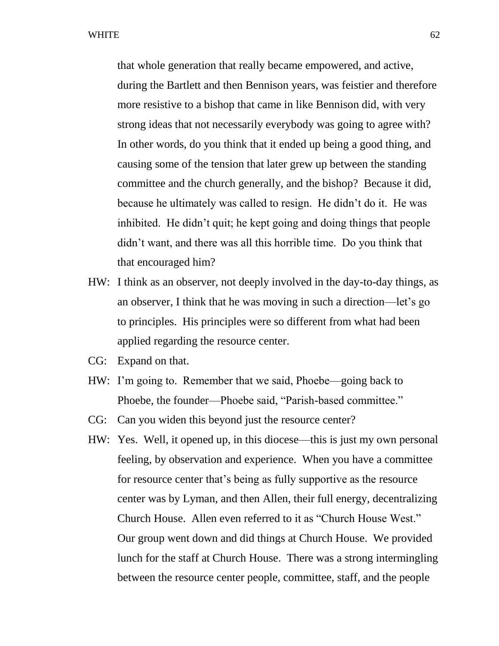that whole generation that really became empowered, and active, during the Bartlett and then Bennison years, was feistier and therefore more resistive to a bishop that came in like Bennison did, with very strong ideas that not necessarily everybody was going to agree with? In other words, do you think that it ended up being a good thing, and causing some of the tension that later grew up between the standing committee and the church generally, and the bishop? Because it did, because he ultimately was called to resign. He didn't do it. He was inhibited. He didn't quit; he kept going and doing things that people didn't want, and there was all this horrible time. Do you think that that encouraged him?

- HW: I think as an observer, not deeply involved in the day-to-day things, as an observer, I think that he was moving in such a direction—let's go to principles. His principles were so different from what had been applied regarding the resource center.
- CG: Expand on that.
- HW: I'm going to. Remember that we said, Phoebe—going back to Phoebe, the founder—Phoebe said, "Parish-based committee."
- CG: Can you widen this beyond just the resource center?
- HW: Yes. Well, it opened up, in this diocese—this is just my own personal feeling, by observation and experience. When you have a committee for resource center that's being as fully supportive as the resource center was by Lyman, and then Allen, their full energy, decentralizing Church House. Allen even referred to it as "Church House West." Our group went down and did things at Church House. We provided lunch for the staff at Church House. There was a strong intermingling between the resource center people, committee, staff, and the people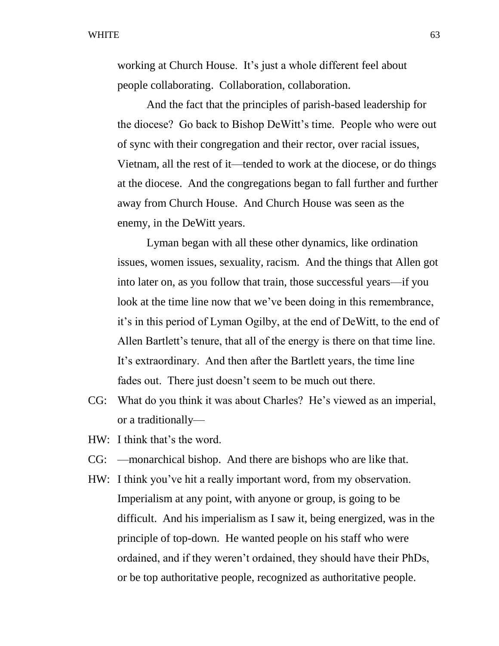working at Church House. It's just a whole different feel about people collaborating. Collaboration, collaboration.

And the fact that the principles of parish-based leadership for the diocese? Go back to Bishop DeWitt's time. People who were out of sync with their congregation and their rector, over racial issues, Vietnam, all the rest of it—tended to work at the diocese, or do things at the diocese. And the congregations began to fall further and further away from Church House. And Church House was seen as the enemy, in the DeWitt years.

Lyman began with all these other dynamics, like ordination issues, women issues, sexuality, racism. And the things that Allen got into later on, as you follow that train, those successful years—if you look at the time line now that we've been doing in this remembrance, it's in this period of Lyman Ogilby, at the end of DeWitt, to the end of Allen Bartlett's tenure, that all of the energy is there on that time line. It's extraordinary. And then after the Bartlett years, the time line fades out. There just doesn't seem to be much out there.

CG: What do you think it was about Charles? He's viewed as an imperial, or a traditionally—

HW: I think that's the word.

- CG: —monarchical bishop. And there are bishops who are like that.
- HW: I think you've hit a really important word, from my observation. Imperialism at any point, with anyone or group, is going to be difficult. And his imperialism as I saw it, being energized, was in the principle of top-down. He wanted people on his staff who were ordained, and if they weren't ordained, they should have their PhDs, or be top authoritative people, recognized as authoritative people.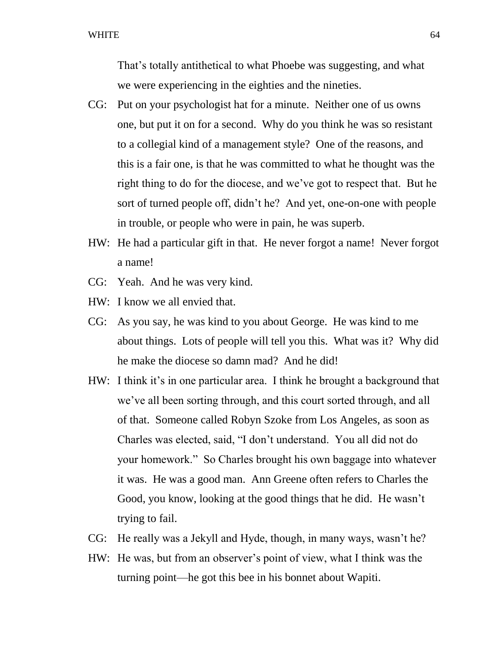That's totally antithetical to what Phoebe was suggesting, and what we were experiencing in the eighties and the nineties.

- CG: Put on your psychologist hat for a minute. Neither one of us owns one, but put it on for a second. Why do you think he was so resistant to a collegial kind of a management style? One of the reasons, and this is a fair one, is that he was committed to what he thought was the right thing to do for the diocese, and we've got to respect that. But he sort of turned people off, didn't he? And yet, one-on-one with people in trouble, or people who were in pain, he was superb.
- HW: He had a particular gift in that. He never forgot a name! Never forgot a name!
- CG: Yeah. And he was very kind.
- HW: I know we all envied that.
- CG: As you say, he was kind to you about George. He was kind to me about things. Lots of people will tell you this. What was it? Why did he make the diocese so damn mad? And he did!
- HW: I think it's in one particular area. I think he brought a background that we've all been sorting through, and this court sorted through, and all of that. Someone called Robyn Szoke from Los Angeles, as soon as Charles was elected, said, "I don't understand. You all did not do your homework." So Charles brought his own baggage into whatever it was. He was a good man. Ann Greene often refers to Charles the Good, you know, looking at the good things that he did. He wasn't trying to fail.
- CG: He really was a Jekyll and Hyde, though, in many ways, wasn't he?
- HW: He was, but from an observer's point of view, what I think was the turning point—he got this bee in his bonnet about Wapiti.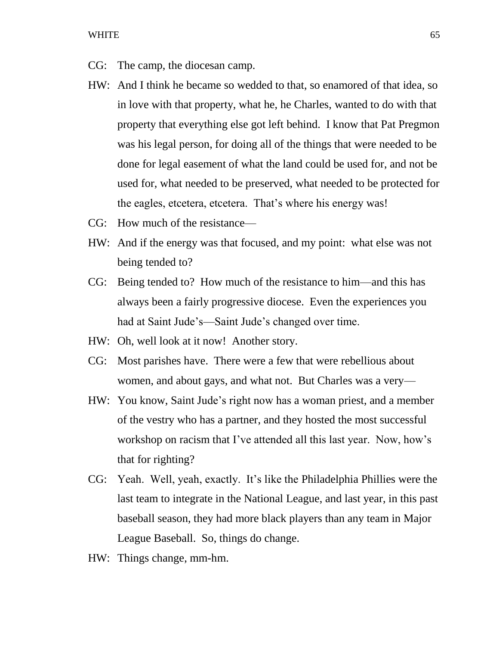- CG: The camp, the diocesan camp.
- HW: And I think he became so wedded to that, so enamored of that idea, so in love with that property, what he, he Charles, wanted to do with that property that everything else got left behind. I know that Pat Pregmon was his legal person, for doing all of the things that were needed to be done for legal easement of what the land could be used for, and not be used for, what needed to be preserved, what needed to be protected for the eagles, etcetera, etcetera. That's where his energy was!
- CG: How much of the resistance—
- HW: And if the energy was that focused, and my point: what else was not being tended to?
- CG: Being tended to? How much of the resistance to him—and this has always been a fairly progressive diocese. Even the experiences you had at Saint Jude's—Saint Jude's changed over time.
- HW: Oh, well look at it now! Another story.
- CG: Most parishes have. There were a few that were rebellious about women, and about gays, and what not. But Charles was a very—
- HW: You know, Saint Jude's right now has a woman priest, and a member of the vestry who has a partner, and they hosted the most successful workshop on racism that I've attended all this last year. Now, how's that for righting?
- CG: Yeah. Well, yeah, exactly. It's like the Philadelphia Phillies were the last team to integrate in the National League, and last year, in this past baseball season, they had more black players than any team in Major League Baseball. So, things do change.
- HW: Things change, mm-hm.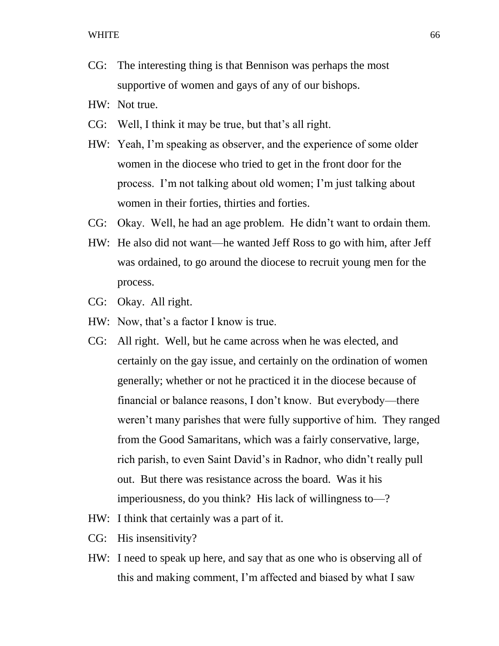- CG: The interesting thing is that Bennison was perhaps the most supportive of women and gays of any of our bishops.
- HW: Not true.
- CG: Well, I think it may be true, but that's all right.
- HW: Yeah, I'm speaking as observer, and the experience of some older women in the diocese who tried to get in the front door for the process. I'm not talking about old women; I'm just talking about women in their forties, thirties and forties.
- CG: Okay. Well, he had an age problem. He didn't want to ordain them.
- HW: He also did not want—he wanted Jeff Ross to go with him, after Jeff was ordained, to go around the diocese to recruit young men for the process.
- CG: Okay. All right.
- HW: Now, that's a factor I know is true.
- CG: All right. Well, but he came across when he was elected, and certainly on the gay issue, and certainly on the ordination of women generally; whether or not he practiced it in the diocese because of financial or balance reasons, I don't know. But everybody—there weren't many parishes that were fully supportive of him. They ranged from the Good Samaritans, which was a fairly conservative, large, rich parish, to even Saint David's in Radnor, who didn't really pull out. But there was resistance across the board. Was it his imperiousness, do you think? His lack of willingness to—?
- HW: I think that certainly was a part of it.
- CG: His insensitivity?
- HW: I need to speak up here, and say that as one who is observing all of this and making comment, I'm affected and biased by what I saw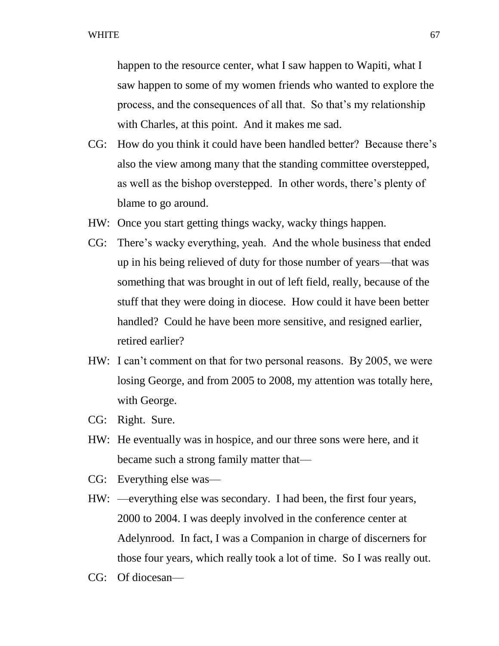happen to the resource center, what I saw happen to Wapiti, what I saw happen to some of my women friends who wanted to explore the process, and the consequences of all that. So that's my relationship with Charles, at this point. And it makes me sad.

- CG: How do you think it could have been handled better? Because there's also the view among many that the standing committee overstepped, as well as the bishop overstepped. In other words, there's plenty of blame to go around.
- HW: Once you start getting things wacky, wacky things happen.
- CG: There's wacky everything, yeah. And the whole business that ended up in his being relieved of duty for those number of years—that was something that was brought in out of left field, really, because of the stuff that they were doing in diocese. How could it have been better handled? Could he have been more sensitive, and resigned earlier, retired earlier?
- HW: I can't comment on that for two personal reasons. By 2005, we were losing George, and from 2005 to 2008, my attention was totally here, with George.
- CG: Right. Sure.
- HW: He eventually was in hospice, and our three sons were here, and it became such a strong family matter that—
- CG: Everything else was—
- HW: —everything else was secondary. I had been, the first four years, 2000 to 2004. I was deeply involved in the conference center at Adelynrood. In fact, I was a Companion in charge of discerners for those four years, which really took a lot of time. So I was really out.
- CG: Of diocesan—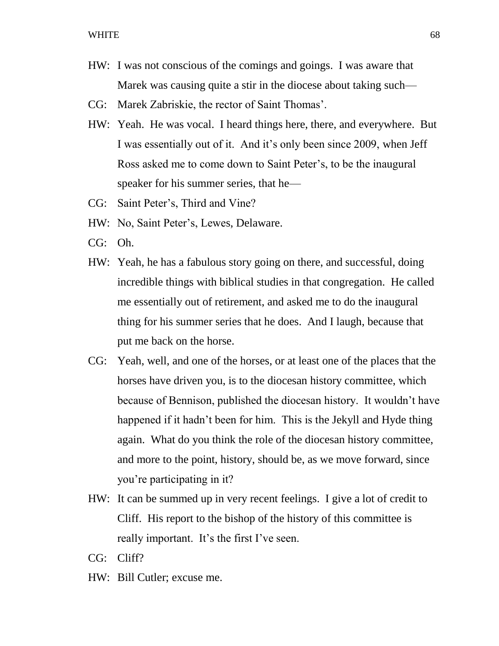- HW: I was not conscious of the comings and goings. I was aware that Marek was causing quite a stir in the diocese about taking such—
- CG: Marek Zabriskie, the rector of Saint Thomas'.
- HW: Yeah. He was vocal. I heard things here, there, and everywhere. But I was essentially out of it. And it's only been since 2009, when Jeff Ross asked me to come down to Saint Peter's, to be the inaugural speaker for his summer series, that he—
- CG: Saint Peter's, Third and Vine?
- HW: No, Saint Peter's, Lewes, Delaware.
- CG: Oh.
- HW: Yeah, he has a fabulous story going on there, and successful, doing incredible things with biblical studies in that congregation. He called me essentially out of retirement, and asked me to do the inaugural thing for his summer series that he does. And I laugh, because that put me back on the horse.
- CG: Yeah, well, and one of the horses, or at least one of the places that the horses have driven you, is to the diocesan history committee, which because of Bennison, published the diocesan history. It wouldn't have happened if it hadn't been for him. This is the Jekyll and Hyde thing again. What do you think the role of the diocesan history committee, and more to the point, history, should be, as we move forward, since you're participating in it?
- HW: It can be summed up in very recent feelings. I give a lot of credit to Cliff. His report to the bishop of the history of this committee is really important. It's the first I've seen.
- CG: Cliff?
- HW: Bill Cutler; excuse me.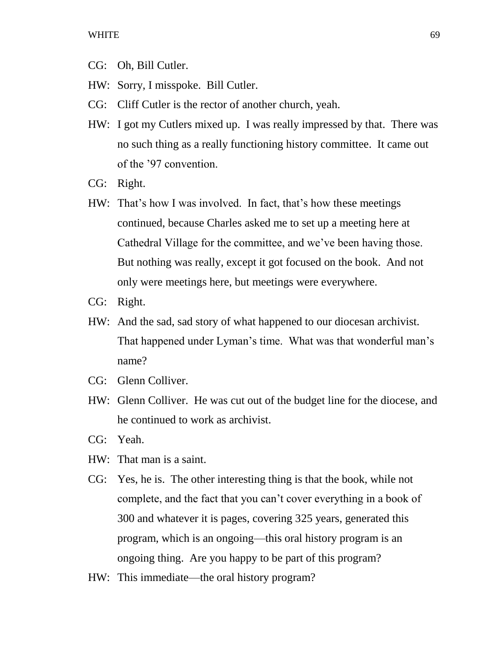- CG: Oh, Bill Cutler.
- HW: Sorry, I misspoke. Bill Cutler.
- CG: Cliff Cutler is the rector of another church, yeah.
- HW: I got my Cutlers mixed up. I was really impressed by that. There was no such thing as a really functioning history committee. It came out of the '97 convention.
- CG: Right.
- HW: That's how I was involved. In fact, that's how these meetings continued, because Charles asked me to set up a meeting here at Cathedral Village for the committee, and we've been having those. But nothing was really, except it got focused on the book. And not only were meetings here, but meetings were everywhere.
- CG: Right.
- HW: And the sad, sad story of what happened to our diocesan archivist. That happened under Lyman's time. What was that wonderful man's name?
- CG: Glenn Colliver.
- HW: Glenn Colliver. He was cut out of the budget line for the diocese, and he continued to work as archivist.
- CG: Yeah.
- HW: That man is a saint.
- CG: Yes, he is. The other interesting thing is that the book, while not complete, and the fact that you can't cover everything in a book of 300 and whatever it is pages, covering 325 years, generated this program, which is an ongoing—this oral history program is an ongoing thing. Are you happy to be part of this program?
- HW: This immediate—the oral history program?